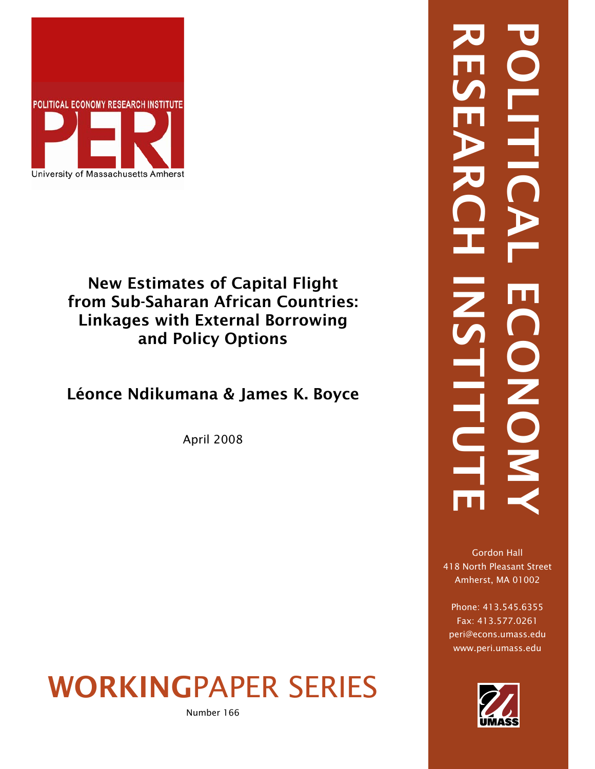

# New Estimates of Capital Flight from Sub-Saharan African Countries: Linkages with External Borrowing and Policy Options

# Léonce Ndikumana & James K. Boyce

April 2008

WORKINGPAPER SERIES

Number 166

# RESEARCH INSTITUTE POLITICAL ECONOMY **LITIC** NONO. HTU

Gordon Hall 418 North Pleasant Street Amherst, MA 01002

Phone: 413.545.6355 Fax: 413.577.0261 peri@econs.umass.edu www.peri.umass.edu

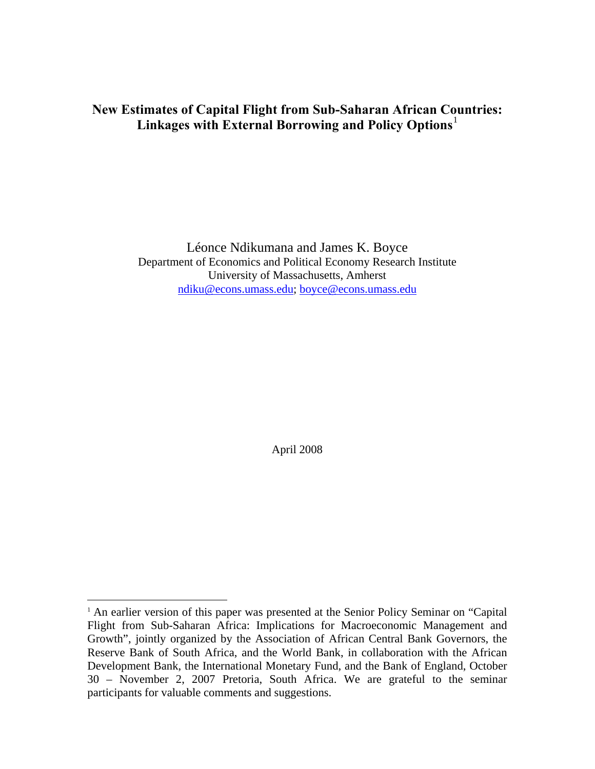### **New Estimates of Capital Flight from Sub-Saharan African Countries: Linkages with External Borrowing and Policy Options**[1](#page-1-0)

Léonce Ndikumana and James K. Boyce Department of Economics and Political Economy Research Institute University of Massachusetts, Amherst [ndiku@econs.umass.edu](mailto:ndiku@econs.umass.edu); [boyce@econs.umass.edu](mailto:boyce@econs.umass.edu)

April 2008

1

<span id="page-1-0"></span><sup>&</sup>lt;sup>1</sup> An earlier version of this paper was presented at the Senior Policy Seminar on "Capital" Flight from Sub-Saharan Africa: Implications for Macroeconomic Management and Growth", jointly organized by the Association of African Central Bank Governors, the Reserve Bank of South Africa, and the World Bank, in collaboration with the African Development Bank, the International Monetary Fund, and the Bank of England, October 30 – November 2, 2007 Pretoria, South Africa. We are grateful to the seminar participants for valuable comments and suggestions.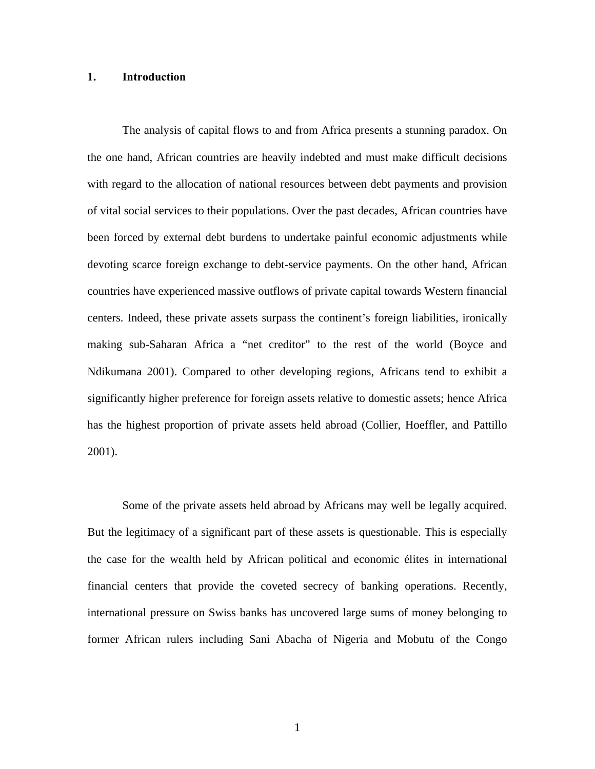#### **1. Introduction**

The analysis of capital flows to and from Africa presents a stunning paradox. On the one hand, African countries are heavily indebted and must make difficult decisions with regard to the allocation of national resources between debt payments and provision of vital social services to their populations. Over the past decades, African countries have been forced by external debt burdens to undertake painful economic adjustments while devoting scarce foreign exchange to debt-service payments. On the other hand, African countries have experienced massive outflows of private capital towards Western financial centers. Indeed, these private assets surpass the continent's foreign liabilities, ironically making sub-Saharan Africa a "net creditor" to the rest of the world (Boyce and Ndikumana 2001). Compared to other developing regions, Africans tend to exhibit a significantly higher preference for foreign assets relative to domestic assets; hence Africa has the highest proportion of private assets held abroad (Collier, Hoeffler, and Pattillo 2001).

Some of the private assets held abroad by Africans may well be legally acquired. But the legitimacy of a significant part of these assets is questionable. This is especially the case for the wealth held by African political and economic élites in international financial centers that provide the coveted secrecy of banking operations. Recently, international pressure on Swiss banks has uncovered large sums of money belonging to former African rulers including Sani Abacha of Nigeria and Mobutu of the Congo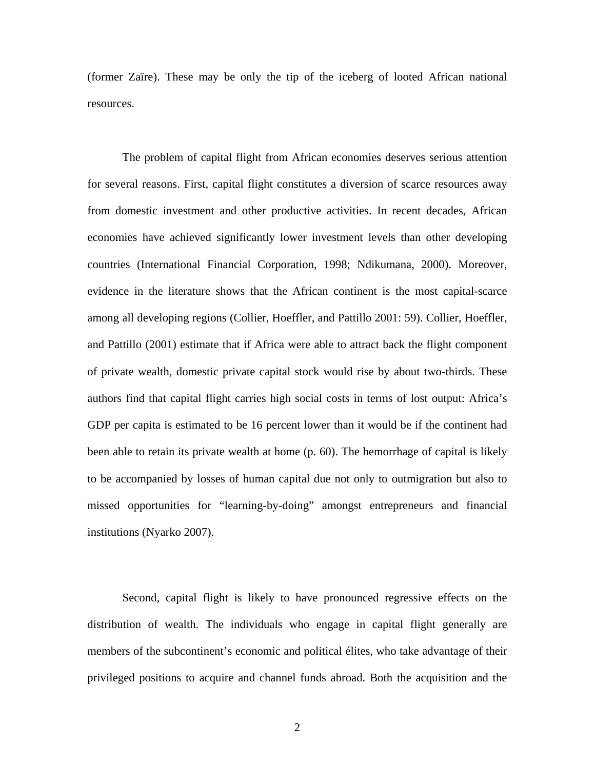(former Zaïre). These may be only the tip of the iceberg of looted African national resources.

The problem of capital flight from African economies deserves serious attention for several reasons. First, capital flight constitutes a diversion of scarce resources away from domestic investment and other productive activities. In recent decades, African economies have achieved significantly lower investment levels than other developing countries (International Financial Corporation, 1998; Ndikumana, 2000). Moreover, evidence in the literature shows that the African continent is the most capital-scarce among all developing regions (Collier, Hoeffler, and Pattillo 2001: 59). Collier, Hoeffler, and Pattillo (2001) estimate that if Africa were able to attract back the flight component of private wealth, domestic private capital stock would rise by about two-thirds. These authors find that capital flight carries high social costs in terms of lost output: Africa's GDP per capita is estimated to be 16 percent lower than it would be if the continent had been able to retain its private wealth at home (p. 60). The hemorrhage of capital is likely to be accompanied by losses of human capital due not only to outmigration but also to missed opportunities for "learning-by-doing" amongst entrepreneurs and financial institutions (Nyarko 2007).

Second, capital flight is likely to have pronounced regressive effects on the distribution of wealth. The individuals who engage in capital flight generally are members of the subcontinent's economic and political élites, who take advantage of their privileged positions to acquire and channel funds abroad. Both the acquisition and the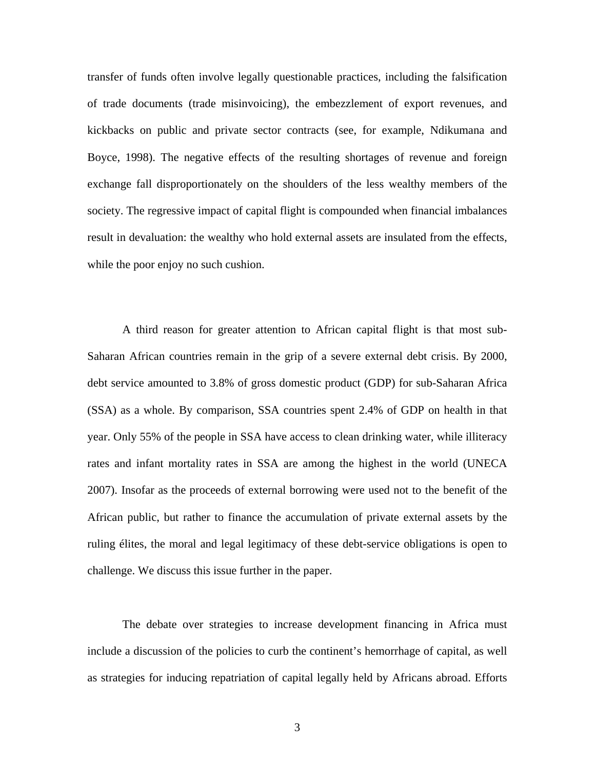transfer of funds often involve legally questionable practices, including the falsification of trade documents (trade misinvoicing), the embezzlement of export revenues, and kickbacks on public and private sector contracts (see, for example, Ndikumana and Boyce, 1998). The negative effects of the resulting shortages of revenue and foreign exchange fall disproportionately on the shoulders of the less wealthy members of the society. The regressive impact of capital flight is compounded when financial imbalances result in devaluation: the wealthy who hold external assets are insulated from the effects, while the poor enjoy no such cushion.

A third reason for greater attention to African capital flight is that most sub-Saharan African countries remain in the grip of a severe external debt crisis. By 2000, debt service amounted to 3.8% of gross domestic product (GDP) for sub-Saharan Africa (SSA) as a whole. By comparison, SSA countries spent 2.4% of GDP on health in that year. Only 55% of the people in SSA have access to clean drinking water, while illiteracy rates and infant mortality rates in SSA are among the highest in the world (UNECA 2007). Insofar as the proceeds of external borrowing were used not to the benefit of the African public, but rather to finance the accumulation of private external assets by the ruling élites, the moral and legal legitimacy of these debt-service obligations is open to challenge. We discuss this issue further in the paper.

The debate over strategies to increase development financing in Africa must include a discussion of the policies to curb the continent's hemorrhage of capital, as well as strategies for inducing repatriation of capital legally held by Africans abroad. Efforts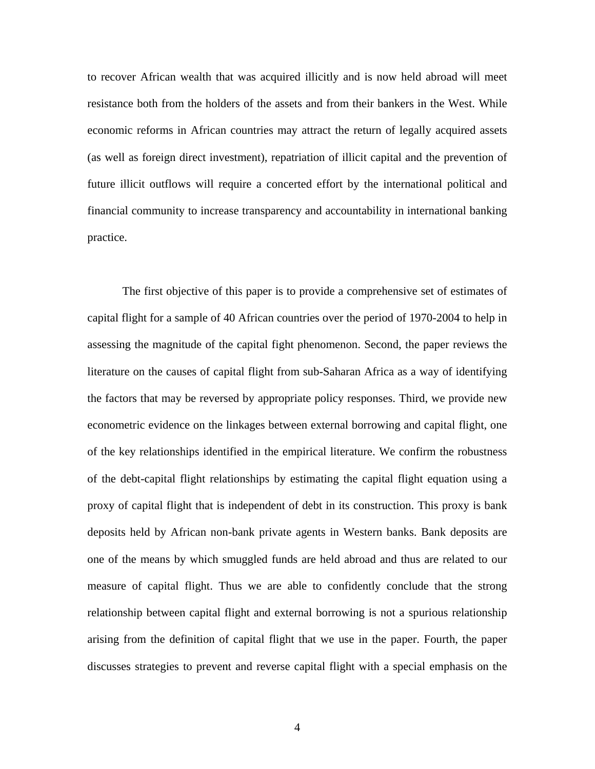to recover African wealth that was acquired illicitly and is now held abroad will meet resistance both from the holders of the assets and from their bankers in the West. While economic reforms in African countries may attract the return of legally acquired assets (as well as foreign direct investment), repatriation of illicit capital and the prevention of future illicit outflows will require a concerted effort by the international political and financial community to increase transparency and accountability in international banking practice.

The first objective of this paper is to provide a comprehensive set of estimates of capital flight for a sample of 40 African countries over the period of 1970-2004 to help in assessing the magnitude of the capital fight phenomenon. Second, the paper reviews the literature on the causes of capital flight from sub-Saharan Africa as a way of identifying the factors that may be reversed by appropriate policy responses. Third, we provide new econometric evidence on the linkages between external borrowing and capital flight, one of the key relationships identified in the empirical literature. We confirm the robustness of the debt-capital flight relationships by estimating the capital flight equation using a proxy of capital flight that is independent of debt in its construction. This proxy is bank deposits held by African non-bank private agents in Western banks. Bank deposits are one of the means by which smuggled funds are held abroad and thus are related to our measure of capital flight. Thus we are able to confidently conclude that the strong relationship between capital flight and external borrowing is not a spurious relationship arising from the definition of capital flight that we use in the paper. Fourth, the paper discusses strategies to prevent and reverse capital flight with a special emphasis on the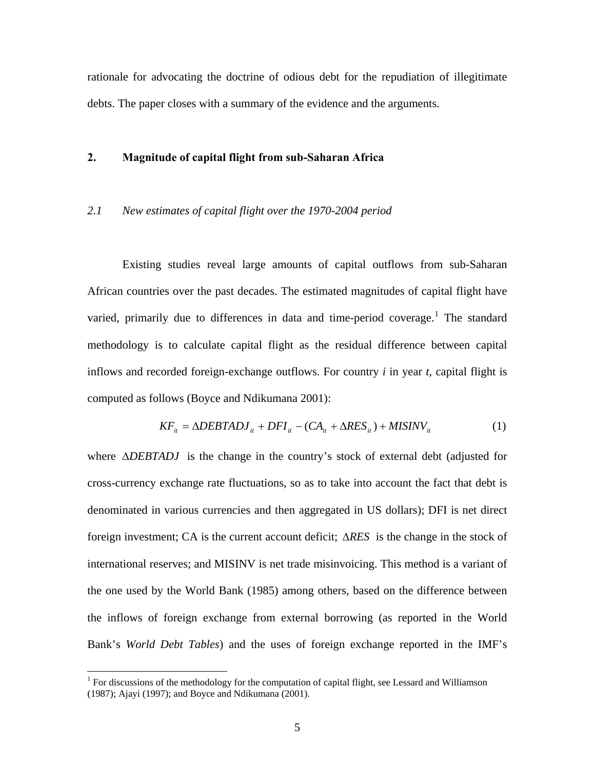rationale for advocating the doctrine of odious debt for the repudiation of illegitimate debts. The paper closes with a summary of the evidence and the arguments.

#### **2. Magnitude of capital flight from sub-Saharan Africa**

#### *2.1 New estimates of capital flight over the 1970-2004 period*

Existing studies reveal large amounts of capital outflows from sub-Saharan African countries over the past decades. The estimated magnitudes of capital flight have varied, primarily due to differences in data and time-period coverage.<sup>[1](#page-6-0)</sup> The standard methodology is to calculate capital flight as the residual difference between capital inflows and recorded foreign-exchange outflows. For country *i* in year *t*, capital flight is computed as follows (Boyce and Ndikumana 2001):

$$
KF_{it} = \Delta DEBTADJ_{it} + DFI_{it} - (CA_{it} + \Delta RES_{it}) + MISINV_{it}
$$
 (1)

where Δ*DEBTADJ* is the change in the country's stock of external debt (adjusted for cross-currency exchange rate fluctuations, so as to take into account the fact that debt is denominated in various currencies and then aggregated in US dollars); DFI is net direct foreign investment; CA is the current account deficit; Δ*RES* is the change in the stock of international reserves; and MISINV is net trade misinvoicing. This method is a variant of the one used by the World Bank (1985) among others, based on the difference between the inflows of foreign exchange from external borrowing (as reported in the World Bank's *World Debt Tables*) and the uses of foreign exchange reported in the IMF's

 $\overline{a}$ 

<span id="page-6-0"></span> $1$  For discussions of the methodology for the computation of capital flight, see Lessard and Williamson (1987); Ajayi (1997); and Boyce and Ndikumana (2001).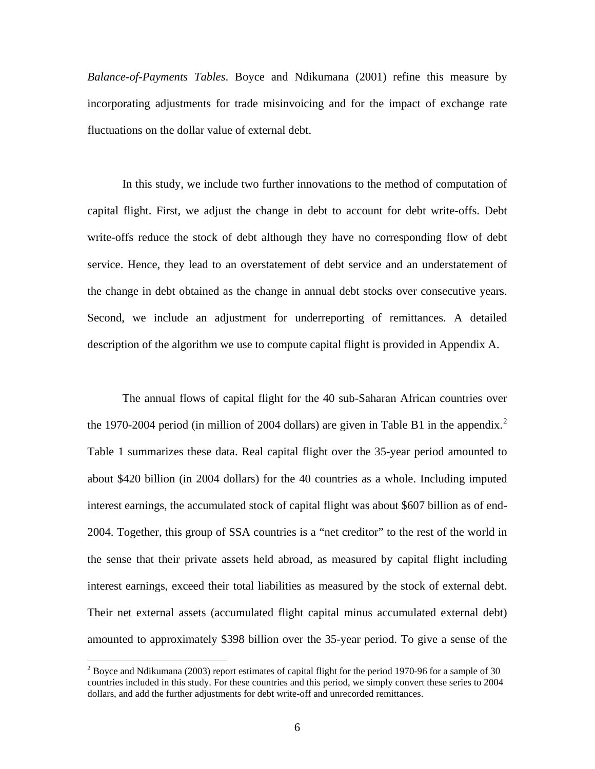*Balance-of-Payments Tables*. Boyce and Ndikumana (2001) refine this measure by incorporating adjustments for trade misinvoicing and for the impact of exchange rate fluctuations on the dollar value of external debt.

In this study, we include two further innovations to the method of computation of capital flight. First, we adjust the change in debt to account for debt write-offs. Debt write-offs reduce the stock of debt although they have no corresponding flow of debt service. Hence, they lead to an overstatement of debt service and an understatement of the change in debt obtained as the change in annual debt stocks over consecutive years. Second, we include an adjustment for underreporting of remittances. A detailed description of the algorithm we use to compute capital flight is provided in Appendix A.

The annual flows of capital flight for the 40 sub-Saharan African countries over the 1970-[2](#page-7-0)004 period (in million of 2004 dollars) are given in Table B1 in the appendix.<sup>2</sup> Table 1 summarizes these data. Real capital flight over the 35-year period amounted to about \$420 billion (in 2004 dollars) for the 40 countries as a whole. Including imputed interest earnings, the accumulated stock of capital flight was about \$607 billion as of end-2004. Together, this group of SSA countries is a "net creditor" to the rest of the world in the sense that their private assets held abroad, as measured by capital flight including interest earnings, exceed their total liabilities as measured by the stock of external debt. Their net external assets (accumulated flight capital minus accumulated external debt) amounted to approximately \$398 billion over the 35-year period. To give a sense of the

 $\overline{a}$ 

<span id="page-7-0"></span> $2^{2}$  Boyce and Ndikumana (2003) report estimates of capital flight for the period 1970-96 for a sample of 30 countries included in this study. For these countries and this period, we simply convert these series to 2004 dollars, and add the further adjustments for debt write-off and unrecorded remittances.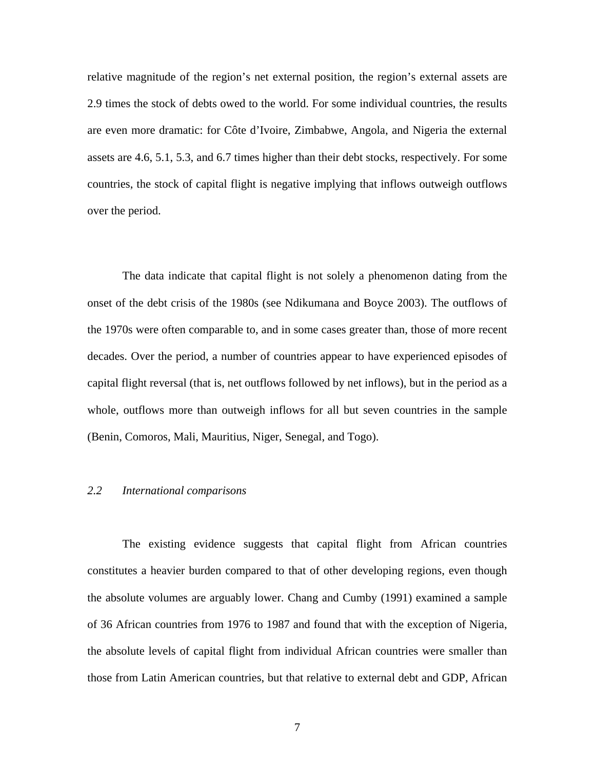relative magnitude of the region's net external position, the region's external assets are 2.9 times the stock of debts owed to the world. For some individual countries, the results are even more dramatic: for Côte d'Ivoire, Zimbabwe, Angola, and Nigeria the external assets are 4.6, 5.1, 5.3, and 6.7 times higher than their debt stocks, respectively. For some countries, the stock of capital flight is negative implying that inflows outweigh outflows over the period.

The data indicate that capital flight is not solely a phenomenon dating from the onset of the debt crisis of the 1980s (see Ndikumana and Boyce 2003). The outflows of the 1970s were often comparable to, and in some cases greater than, those of more recent decades. Over the period, a number of countries appear to have experienced episodes of capital flight reversal (that is, net outflows followed by net inflows), but in the period as a whole, outflows more than outweigh inflows for all but seven countries in the sample (Benin, Comoros, Mali, Mauritius, Niger, Senegal, and Togo).

#### *2.2 International comparisons*

The existing evidence suggests that capital flight from African countries constitutes a heavier burden compared to that of other developing regions, even though the absolute volumes are arguably lower. Chang and Cumby (1991) examined a sample of 36 African countries from 1976 to 1987 and found that with the exception of Nigeria, the absolute levels of capital flight from individual African countries were smaller than those from Latin American countries, but that relative to external debt and GDP, African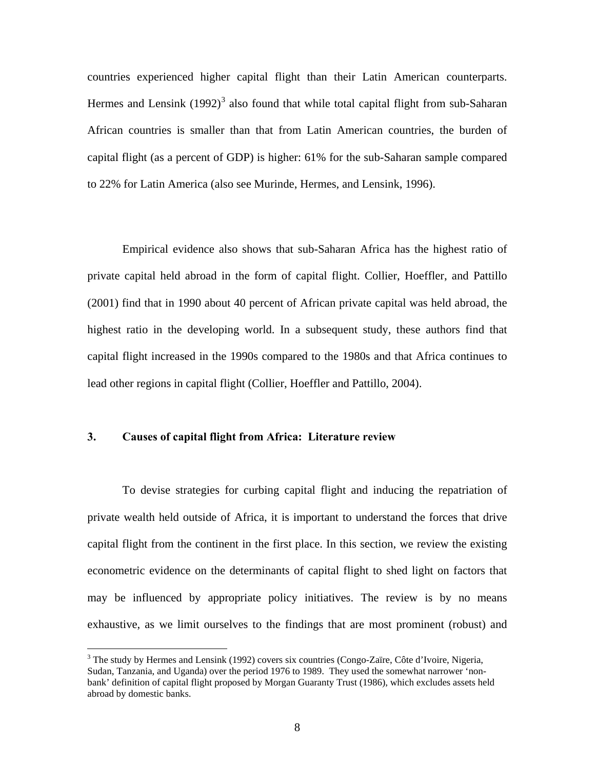<span id="page-9-0"></span>countries experienced higher capital flight than their Latin American counterparts. Hermes and Lensink  $(1992)^3$  $(1992)^3$  also found that while total capital flight from sub-Saharan African countries is smaller than that from Latin American countries, the burden of capital flight (as a percent of GDP) is higher: 61% for the sub-Saharan sample compared to 22% for Latin America (also see Murinde, Hermes, and Lensink, 1996).

Empirical evidence also shows that sub-Saharan Africa has the highest ratio of private capital held abroad in the form of capital flight. Collier, Hoeffler, and Pattillo (2001) find that in 1990 about 40 percent of African private capital was held abroad, the highest ratio in the developing world. In a subsequent study, these authors find that capital flight increased in the 1990s compared to the 1980s and that Africa continues to lead other regions in capital flight (Collier, Hoeffler and Pattillo, 2004).

#### **3. Causes of capital flight from Africa: Literature review**

 $\overline{a}$ 

To devise strategies for curbing capital flight and inducing the repatriation of private wealth held outside of Africa, it is important to understand the forces that drive capital flight from the continent in the first place. In this section, we review the existing econometric evidence on the determinants of capital flight to shed light on factors that may be influenced by appropriate policy initiatives. The review is by no means exhaustive, as we limit ourselves to the findings that are most prominent (robust) and

 $3$  The study by Hermes and Lensink (1992) covers six countries (Congo-Zaïre, Côte d'Ivoire, Nigeria, Sudan, Tanzania, and Uganda) over the period 1976 to 1989. They used the somewhat narrower 'nonbank' definition of capital flight proposed by Morgan Guaranty Trust (1986), which excludes assets held abroad by domestic banks.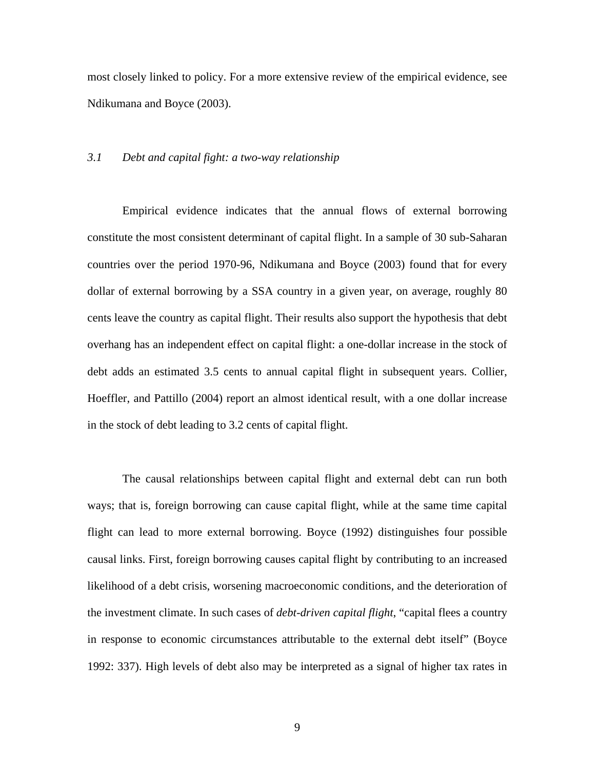most closely linked to policy. For a more extensive review of the empirical evidence, see Ndikumana and Boyce (2003).

#### *3.1 Debt and capital fight: a two-way relationship*

Empirical evidence indicates that the annual flows of external borrowing constitute the most consistent determinant of capital flight. In a sample of 30 sub-Saharan countries over the period 1970-96, Ndikumana and Boyce (2003) found that for every dollar of external borrowing by a SSA country in a given year, on average, roughly 80 cents leave the country as capital flight. Their results also support the hypothesis that debt overhang has an independent effect on capital flight: a one-dollar increase in the stock of debt adds an estimated 3.5 cents to annual capital flight in subsequent years. Collier, Hoeffler, and Pattillo (2004) report an almost identical result, with a one dollar increase in the stock of debt leading to 3.2 cents of capital flight.

The causal relationships between capital flight and external debt can run both ways; that is, foreign borrowing can cause capital flight, while at the same time capital flight can lead to more external borrowing. Boyce (1992) distinguishes four possible causal links. First, foreign borrowing causes capital flight by contributing to an increased likelihood of a debt crisis, worsening macroeconomic conditions, and the deterioration of the investment climate. In such cases of *debt-driven capital flight*, "capital flees a country in response to economic circumstances attributable to the external debt itself" (Boyce 1992: 337). High levels of debt also may be interpreted as a signal of higher tax rates in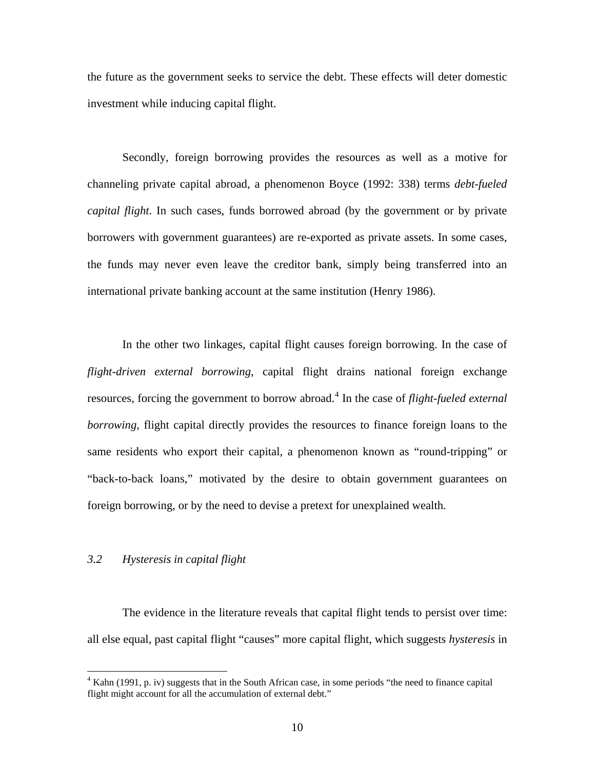<span id="page-11-0"></span>the future as the government seeks to service the debt. These effects will deter domestic investment while inducing capital flight.

Secondly, foreign borrowing provides the resources as well as a motive for channeling private capital abroad, a phenomenon Boyce (1992: 338) terms *debt-fueled capital flight*. In such cases, funds borrowed abroad (by the government or by private borrowers with government guarantees) are re-exported as private assets. In some cases, the funds may never even leave the creditor bank, simply being transferred into an international private banking account at the same institution (Henry 1986).

In the other two linkages, capital flight causes foreign borrowing. In the case of *flight-driven external borrowing*, capital flight drains national foreign exchange resources, forcing the government to borrow abroad.<sup>[4](#page-11-0)</sup> In the case of *flight-fueled external borrowing*, flight capital directly provides the resources to finance foreign loans to the same residents who export their capital, a phenomenon known as "round-tripping" or "back-to-back loans," motivated by the desire to obtain government guarantees on foreign borrowing, or by the need to devise a pretext for unexplained wealth.

#### *3.2 Hysteresis in capital flight*

The evidence in the literature reveals that capital flight tends to persist over time: all else equal, past capital flight "causes" more capital flight, which suggests *hysteresis* in

<sup>&</sup>lt;sup>4</sup> Kahn (1991, p. iv) suggests that in the South African case, in some periods "the need to finance capital flight might account for all the accumulation of external debt."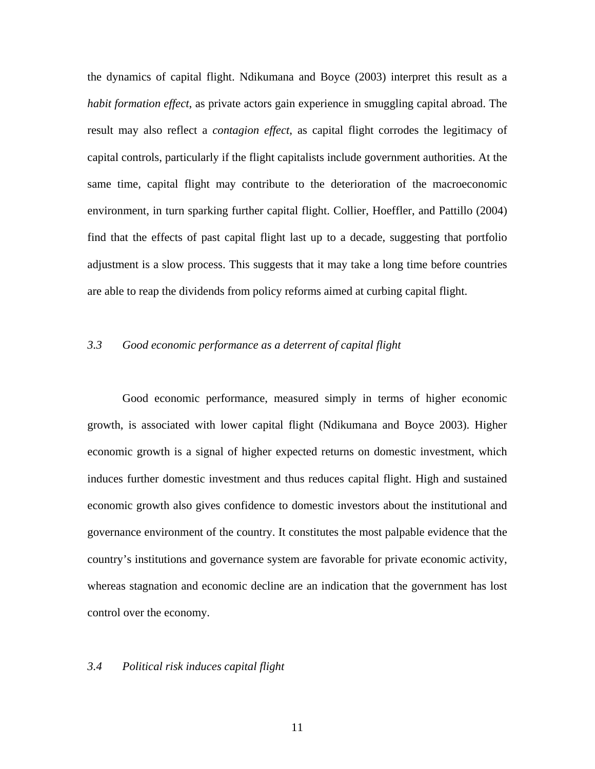the dynamics of capital flight. Ndikumana and Boyce (2003) interpret this result as a *habit formation effect*, as private actors gain experience in smuggling capital abroad. The result may also reflect a *contagion effect*, as capital flight corrodes the legitimacy of capital controls, particularly if the flight capitalists include government authorities. At the same time, capital flight may contribute to the deterioration of the macroeconomic environment, in turn sparking further capital flight. Collier, Hoeffler, and Pattillo (2004) find that the effects of past capital flight last up to a decade, suggesting that portfolio adjustment is a slow process. This suggests that it may take a long time before countries are able to reap the dividends from policy reforms aimed at curbing capital flight.

#### *3.3 Good economic performance as a deterrent of capital flight*

Good economic performance, measured simply in terms of higher economic growth, is associated with lower capital flight (Ndikumana and Boyce 2003). Higher economic growth is a signal of higher expected returns on domestic investment, which induces further domestic investment and thus reduces capital flight. High and sustained economic growth also gives confidence to domestic investors about the institutional and governance environment of the country. It constitutes the most palpable evidence that the country's institutions and governance system are favorable for private economic activity, whereas stagnation and economic decline are an indication that the government has lost control over the economy.

#### *3.4 Political risk induces capital flight*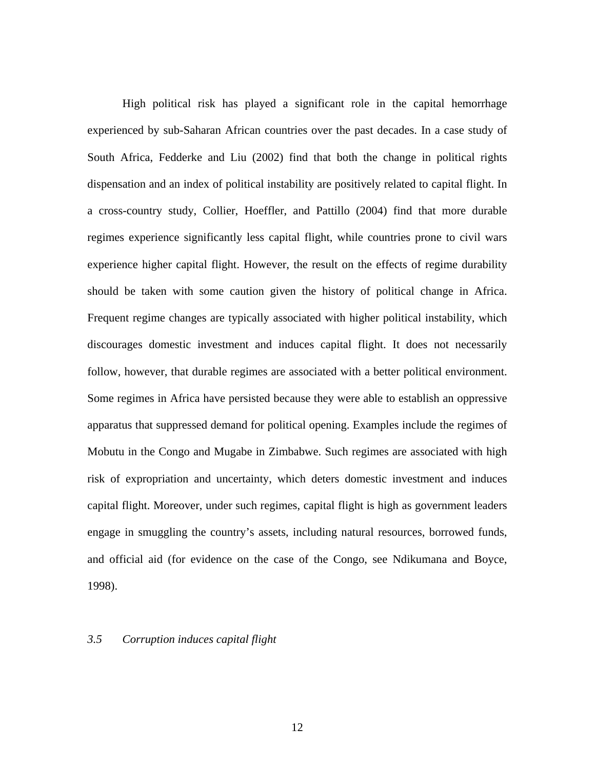High political risk has played a significant role in the capital hemorrhage experienced by sub-Saharan African countries over the past decades. In a case study of South Africa, Fedderke and Liu (2002) find that both the change in political rights dispensation and an index of political instability are positively related to capital flight. In a cross-country study, Collier, Hoeffler, and Pattillo (2004) find that more durable regimes experience significantly less capital flight, while countries prone to civil wars experience higher capital flight. However, the result on the effects of regime durability should be taken with some caution given the history of political change in Africa. Frequent regime changes are typically associated with higher political instability, which discourages domestic investment and induces capital flight. It does not necessarily follow, however, that durable regimes are associated with a better political environment. Some regimes in Africa have persisted because they were able to establish an oppressive apparatus that suppressed demand for political opening. Examples include the regimes of Mobutu in the Congo and Mugabe in Zimbabwe. Such regimes are associated with high risk of expropriation and uncertainty, which deters domestic investment and induces capital flight. Moreover, under such regimes, capital flight is high as government leaders engage in smuggling the country's assets, including natural resources, borrowed funds, and official aid (for evidence on the case of the Congo, see Ndikumana and Boyce, 1998).

#### *3.5 Corruption induces capital flight*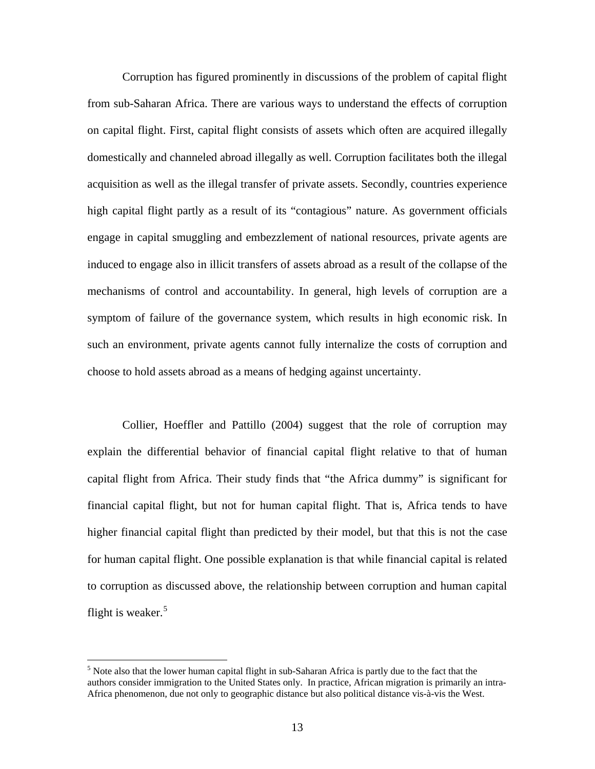<span id="page-14-0"></span>Corruption has figured prominently in discussions of the problem of capital flight from sub-Saharan Africa. There are various ways to understand the effects of corruption on capital flight. First, capital flight consists of assets which often are acquired illegally domestically and channeled abroad illegally as well. Corruption facilitates both the illegal acquisition as well as the illegal transfer of private assets. Secondly, countries experience high capital flight partly as a result of its "contagious" nature. As government officials engage in capital smuggling and embezzlement of national resources, private agents are induced to engage also in illicit transfers of assets abroad as a result of the collapse of the mechanisms of control and accountability. In general, high levels of corruption are a symptom of failure of the governance system, which results in high economic risk. In such an environment, private agents cannot fully internalize the costs of corruption and choose to hold assets abroad as a means of hedging against uncertainty.

Collier, Hoeffler and Pattillo (2004) suggest that the role of corruption may explain the differential behavior of financial capital flight relative to that of human capital flight from Africa. Their study finds that "the Africa dummy" is significant for financial capital flight, but not for human capital flight. That is, Africa tends to have higher financial capital flight than predicted by their model, but that this is not the case for human capital flight. One possible explanation is that while financial capital is related to corruption as discussed above, the relationship between corruption and human capital flight is weaker. $5$ 

 $\overline{a}$ 

 $<sup>5</sup>$  Note also that the lower human capital flight in sub-Saharan Africa is partly due to the fact that the</sup> authors consider immigration to the United States only. In practice, African migration is primarily an intra-Africa phenomenon, due not only to geographic distance but also political distance vis-à-vis the West.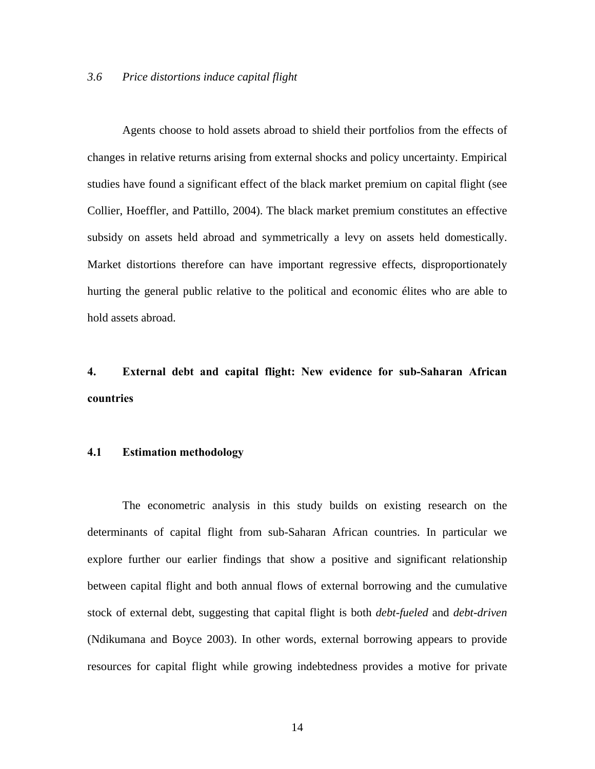#### *3.6 Price distortions induce capital flight*

Agents choose to hold assets abroad to shield their portfolios from the effects of changes in relative returns arising from external shocks and policy uncertainty. Empirical studies have found a significant effect of the black market premium on capital flight (see Collier, Hoeffler, and Pattillo, 2004). The black market premium constitutes an effective subsidy on assets held abroad and symmetrically a levy on assets held domestically. Market distortions therefore can have important regressive effects, disproportionately hurting the general public relative to the political and economic élites who are able to hold assets abroad.

# **4. External debt and capital flight: New evidence for sub-Saharan African countries**

#### **4.1 Estimation methodology**

The econometric analysis in this study builds on existing research on the determinants of capital flight from sub-Saharan African countries. In particular we explore further our earlier findings that show a positive and significant relationship between capital flight and both annual flows of external borrowing and the cumulative stock of external debt, suggesting that capital flight is both *debt-fueled* and *debt-driven*  (Ndikumana and Boyce 2003). In other words, external borrowing appears to provide resources for capital flight while growing indebtedness provides a motive for private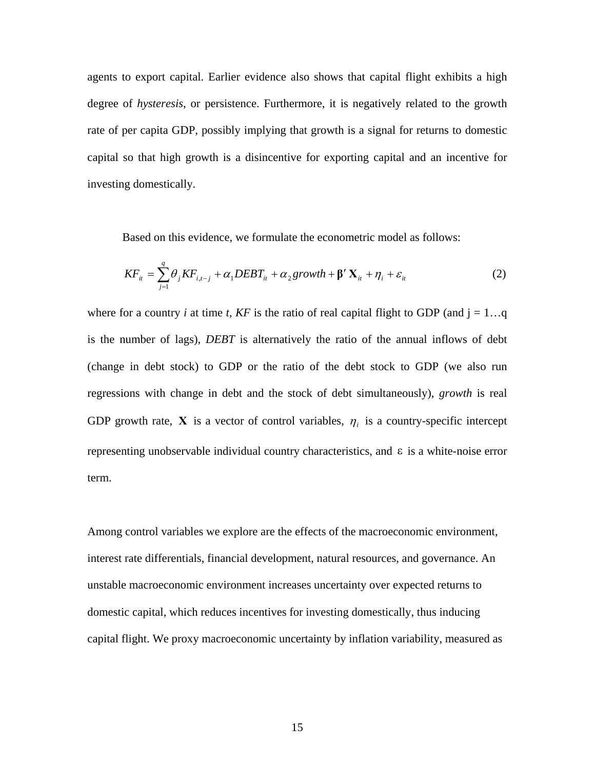agents to export capital. Earlier evidence also shows that capital flight exhibits a high degree of *hysteresis*, or persistence. Furthermore, it is negatively related to the growth rate of per capita GDP, possibly implying that growth is a signal for returns to domestic capital so that high growth is a disincentive for exporting capital and an incentive for investing domestically.

Based on this evidence, we formulate the econometric model as follows:

$$
KF_{it} = \sum_{j=1}^{q} \theta_j K F_{i,t-j} + \alpha_1 DEBT_{it} + \alpha_2 growth + \beta' \mathbf{X}_{it} + \eta_i + \varepsilon_{it}
$$
 (2)

where for a country *i* at time *t*,  $KF$  is the ratio of real capital flight to GDP (and  $j = 1...q$ is the number of lags), *DEBT* is alternatively the ratio of the annual inflows of debt (change in debt stock) to GDP or the ratio of the debt stock to GDP (we also run regressions with change in debt and the stock of debt simultaneously), *growth* is real GDP growth rate, **X** is a vector of control variables,  $\eta_i$  is a country-specific intercept representing unobservable individual country characteristics, and ε is a white-noise error term.

Among control variables we explore are the effects of the macroeconomic environment, interest rate differentials, financial development, natural resources, and governance. An unstable macroeconomic environment increases uncertainty over expected returns to domestic capital, which reduces incentives for investing domestically, thus inducing capital flight. We proxy macroeconomic uncertainty by inflation variability, measured as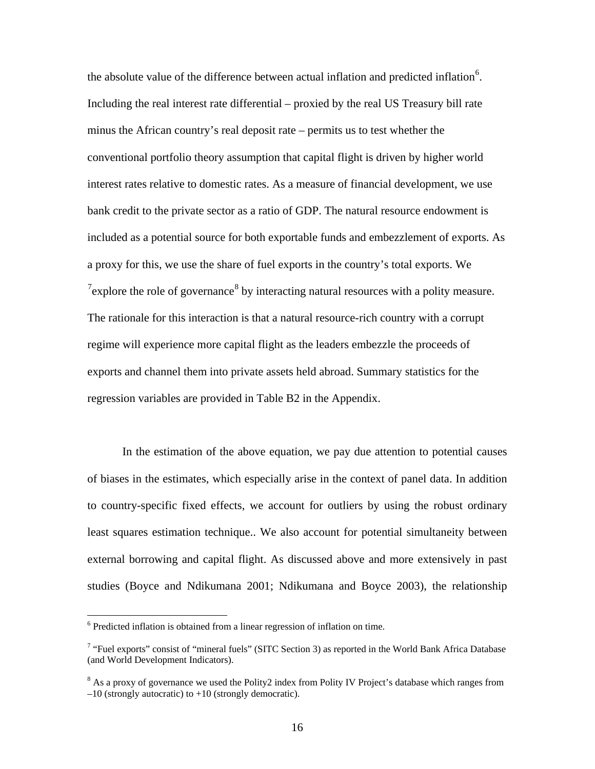<span id="page-17-0"></span>the absolute value of the difference between actual inflation and predicted inflation<sup>[6](#page-17-0)</sup>. Including the real interest rate differential – proxied by the real US Treasury bill rate minus the African country's real deposit rate – permits us to test whether the conventional portfolio theory assumption that capital flight is driven by higher world interest rates relative to domestic rates. As a measure of financial development, we use bank credit to the private sector as a ratio of GDP. The natural resource endowment is included as a potential source for both exportable funds and embezzlement of exports. As a proxy for this, we use the share of fuel exports in the country's total exports. We <sup>[7](#page-17-0)</sup> explore the role of governance<sup>[8](#page-17-0)</sup> by interacting natural resources with a polity measure. The rationale for this interaction is that a natural resource-rich country with a corrupt regime will experience more capital flight as the leaders embezzle the proceeds of exports and channel them into private assets held abroad. Summary statistics for the regression variables are provided in Table B2 in the Appendix.

In the estimation of the above equation, we pay due attention to potential causes of biases in the estimates, which especially arise in the context of panel data. In addition to country-specific fixed effects, we account for outliers by using the robust ordinary least squares estimation technique.. We also account for potential simultaneity between external borrowing and capital flight. As discussed above and more extensively in past studies (Boyce and Ndikumana 2001; Ndikumana and Boyce 2003), the relationship

 $\overline{a}$ 

<sup>&</sup>lt;sup>6</sup> Predicted inflation is obtained from a linear regression of inflation on time.

<sup>&</sup>lt;sup>7</sup> "Fuel exports" consist of "mineral fuels" (SITC Section 3) as reported in the World Bank Africa Database (and World Development Indicators).

 $8$  As a proxy of governance we used the Polity2 index from Polity IV Project's database which ranges from  $-10$  (strongly autocratic) to  $+10$  (strongly democratic).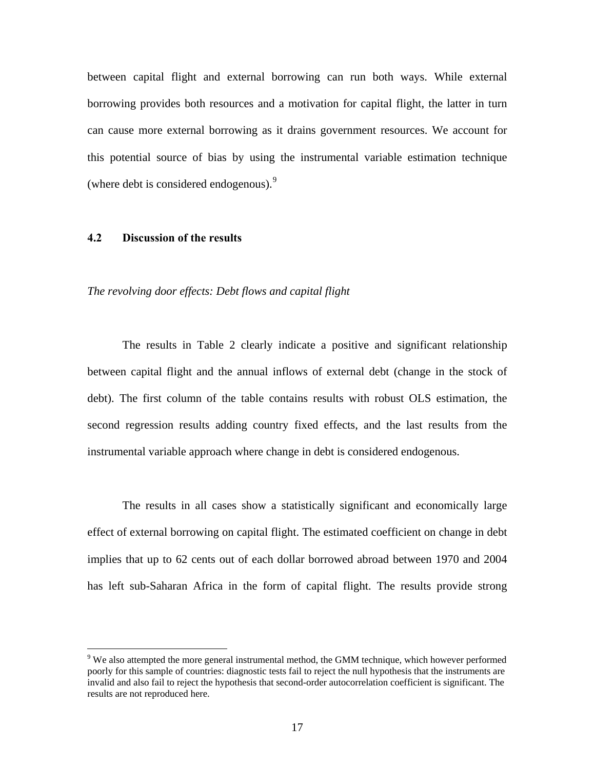<span id="page-18-0"></span>between capital flight and external borrowing can run both ways. While external borrowing provides both resources and a motivation for capital flight, the latter in turn can cause more external borrowing as it drains government resources. We account for this potential source of bias by using the instrumental variable estimation technique (where debt is considered endogenous).<sup>[9](#page-18-0)</sup>

#### **4.2 Discussion of the results**

 $\overline{a}$ 

#### *The revolving door effects: Debt flows and capital flight*

The results in Table 2 clearly indicate a positive and significant relationship between capital flight and the annual inflows of external debt (change in the stock of debt). The first column of the table contains results with robust OLS estimation, the second regression results adding country fixed effects, and the last results from the instrumental variable approach where change in debt is considered endogenous.

The results in all cases show a statistically significant and economically large effect of external borrowing on capital flight. The estimated coefficient on change in debt implies that up to 62 cents out of each dollar borrowed abroad between 1970 and 2004 has left sub-Saharan Africa in the form of capital flight. The results provide strong

 $9$  We also attempted the more general instrumental method, the GMM technique, which however performed poorly for this sample of countries: diagnostic tests fail to reject the null hypothesis that the instruments are invalid and also fail to reject the hypothesis that second-order autocorrelation coefficient is significant. The results are not reproduced here.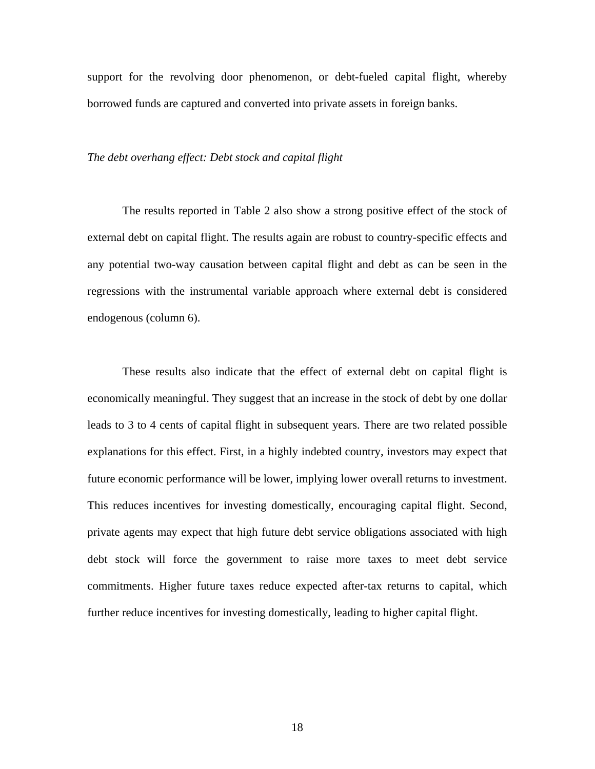support for the revolving door phenomenon, or debt-fueled capital flight, whereby borrowed funds are captured and converted into private assets in foreign banks.

#### *The debt overhang effect: Debt stock and capital flight*

The results reported in Table 2 also show a strong positive effect of the stock of external debt on capital flight. The results again are robust to country-specific effects and any potential two-way causation between capital flight and debt as can be seen in the regressions with the instrumental variable approach where external debt is considered endogenous (column 6).

These results also indicate that the effect of external debt on capital flight is economically meaningful. They suggest that an increase in the stock of debt by one dollar leads to 3 to 4 cents of capital flight in subsequent years. There are two related possible explanations for this effect. First, in a highly indebted country, investors may expect that future economic performance will be lower, implying lower overall returns to investment. This reduces incentives for investing domestically, encouraging capital flight. Second, private agents may expect that high future debt service obligations associated with high debt stock will force the government to raise more taxes to meet debt service commitments. Higher future taxes reduce expected after-tax returns to capital, which further reduce incentives for investing domestically, leading to higher capital flight.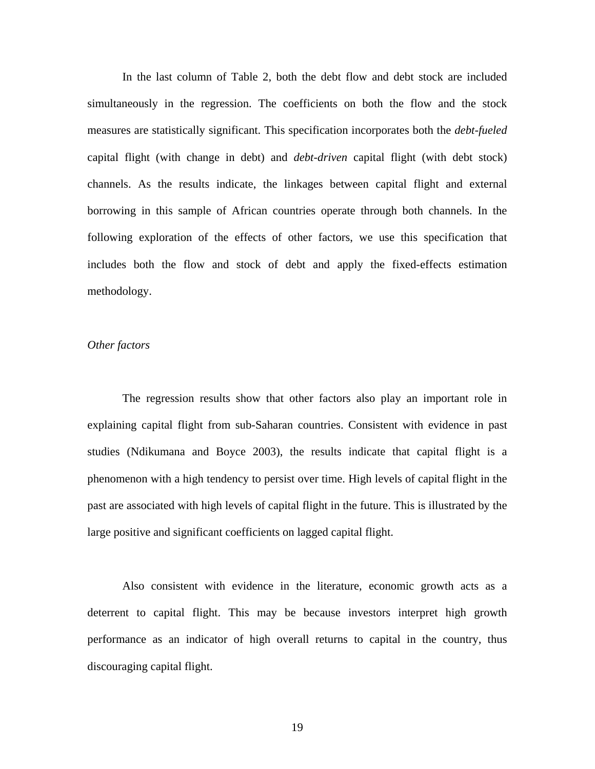In the last column of Table 2, both the debt flow and debt stock are included simultaneously in the regression. The coefficients on both the flow and the stock measures are statistically significant. This specification incorporates both the *debt-fueled*  capital flight (with change in debt) and *debt-driven* capital flight (with debt stock) channels. As the results indicate, the linkages between capital flight and external borrowing in this sample of African countries operate through both channels. In the following exploration of the effects of other factors, we use this specification that includes both the flow and stock of debt and apply the fixed-effects estimation methodology.

#### *Other factors*

The regression results show that other factors also play an important role in explaining capital flight from sub-Saharan countries. Consistent with evidence in past studies (Ndikumana and Boyce 2003), the results indicate that capital flight is a phenomenon with a high tendency to persist over time. High levels of capital flight in the past are associated with high levels of capital flight in the future. This is illustrated by the large positive and significant coefficients on lagged capital flight.

Also consistent with evidence in the literature, economic growth acts as a deterrent to capital flight. This may be because investors interpret high growth performance as an indicator of high overall returns to capital in the country, thus discouraging capital flight.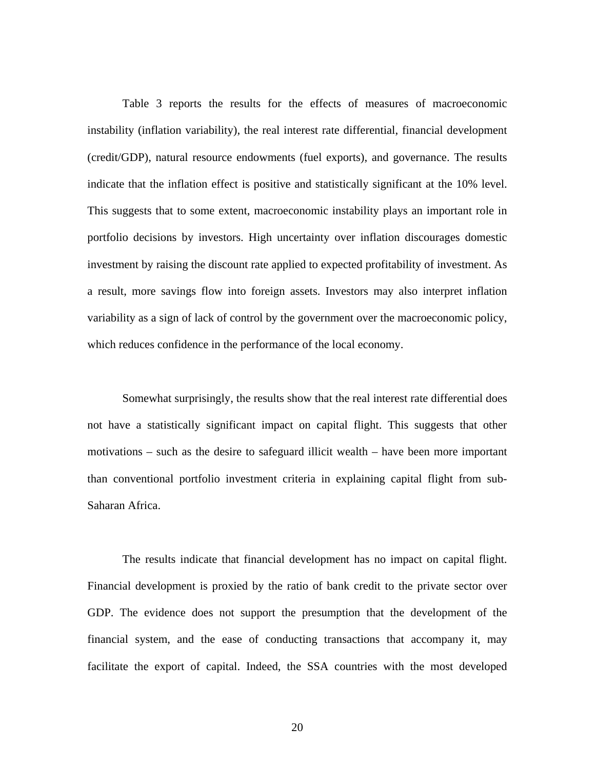Table 3 reports the results for the effects of measures of macroeconomic instability (inflation variability), the real interest rate differential, financial development (credit/GDP), natural resource endowments (fuel exports), and governance. The results indicate that the inflation effect is positive and statistically significant at the 10% level. This suggests that to some extent, macroeconomic instability plays an important role in portfolio decisions by investors. High uncertainty over inflation discourages domestic investment by raising the discount rate applied to expected profitability of investment. As a result, more savings flow into foreign assets. Investors may also interpret inflation variability as a sign of lack of control by the government over the macroeconomic policy, which reduces confidence in the performance of the local economy.

 Somewhat surprisingly, the results show that the real interest rate differential does not have a statistically significant impact on capital flight. This suggests that other motivations – such as the desire to safeguard illicit wealth – have been more important than conventional portfolio investment criteria in explaining capital flight from sub-Saharan Africa.

The results indicate that financial development has no impact on capital flight. Financial development is proxied by the ratio of bank credit to the private sector over GDP. The evidence does not support the presumption that the development of the financial system, and the ease of conducting transactions that accompany it, may facilitate the export of capital. Indeed, the SSA countries with the most developed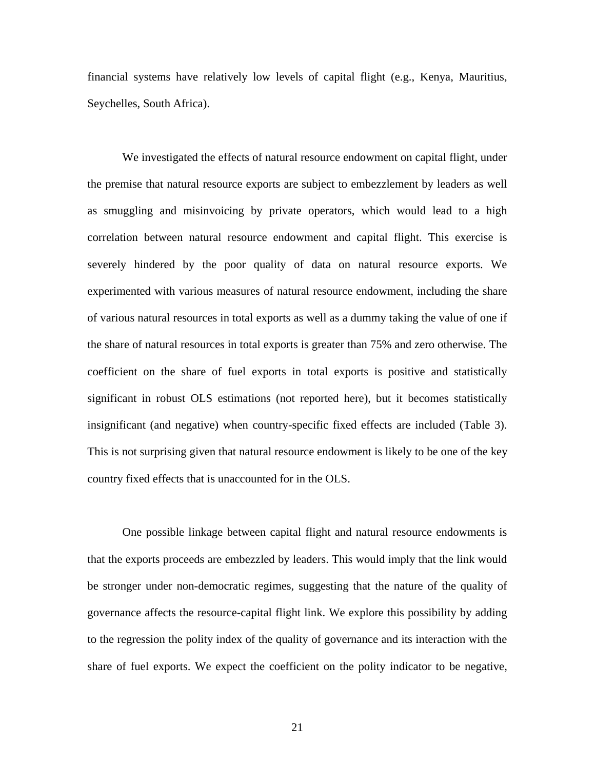financial systems have relatively low levels of capital flight (e.g., Kenya, Mauritius, Seychelles, South Africa).

We investigated the effects of natural resource endowment on capital flight, under the premise that natural resource exports are subject to embezzlement by leaders as well as smuggling and misinvoicing by private operators, which would lead to a high correlation between natural resource endowment and capital flight. This exercise is severely hindered by the poor quality of data on natural resource exports. We experimented with various measures of natural resource endowment, including the share of various natural resources in total exports as well as a dummy taking the value of one if the share of natural resources in total exports is greater than 75% and zero otherwise. The coefficient on the share of fuel exports in total exports is positive and statistically significant in robust OLS estimations (not reported here), but it becomes statistically insignificant (and negative) when country-specific fixed effects are included (Table 3). This is not surprising given that natural resource endowment is likely to be one of the key country fixed effects that is unaccounted for in the OLS.

One possible linkage between capital flight and natural resource endowments is that the exports proceeds are embezzled by leaders. This would imply that the link would be stronger under non-democratic regimes, suggesting that the nature of the quality of governance affects the resource-capital flight link. We explore this possibility by adding to the regression the polity index of the quality of governance and its interaction with the share of fuel exports. We expect the coefficient on the polity indicator to be negative,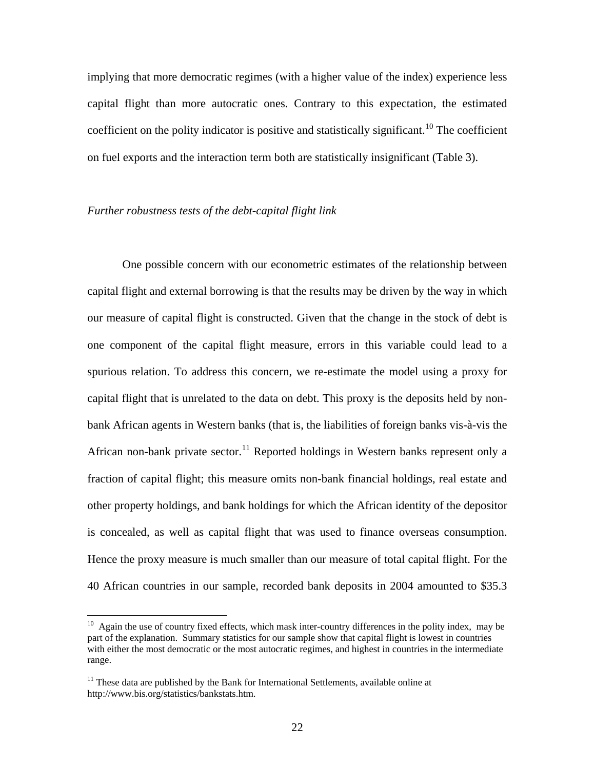<span id="page-23-0"></span>implying that more democratic regimes (with a higher value of the index) experience less capital flight than more autocratic ones. Contrary to this expectation, the estimated coefficient on the polity indicator is positive and statistically significant.<sup>[10](#page-23-0)</sup> The coefficient on fuel exports and the interaction term both are statistically insignificant (Table 3).

#### *Further robustness tests of the debt-capital flight link*

One possible concern with our econometric estimates of the relationship between capital flight and external borrowing is that the results may be driven by the way in which our measure of capital flight is constructed. Given that the change in the stock of debt is one component of the capital flight measure, errors in this variable could lead to a spurious relation. To address this concern, we re-estimate the model using a proxy for capital flight that is unrelated to the data on debt. This proxy is the deposits held by nonbank African agents in Western banks (that is, the liabilities of foreign banks vis-à-vis the African non-bank private sector.<sup>[1](#page-23-0)1</sup> Reported holdings in Western banks represent only a fraction of capital flight; this measure omits non-bank financial holdings, real estate and other property holdings, and bank holdings for which the African identity of the depositor is concealed, as well as capital flight that was used to finance overseas consumption. Hence the proxy measure is much smaller than our measure of total capital flight. For the 40 African countries in our sample, recorded bank deposits in 2004 amounted to \$35.3

 $\overline{a}$ 

 $10$  Again the use of country fixed effects, which mask inter-country differences in the polity index, may be part of the explanation. Summary statistics for our sample show that capital flight is lowest in countries with either the most democratic or the most autocratic regimes, and highest in countries in the intermediate range.

 $11$  These data are published by the Bank for International Settlements, available online at http://www.bis.org/statistics/bankstats.htm.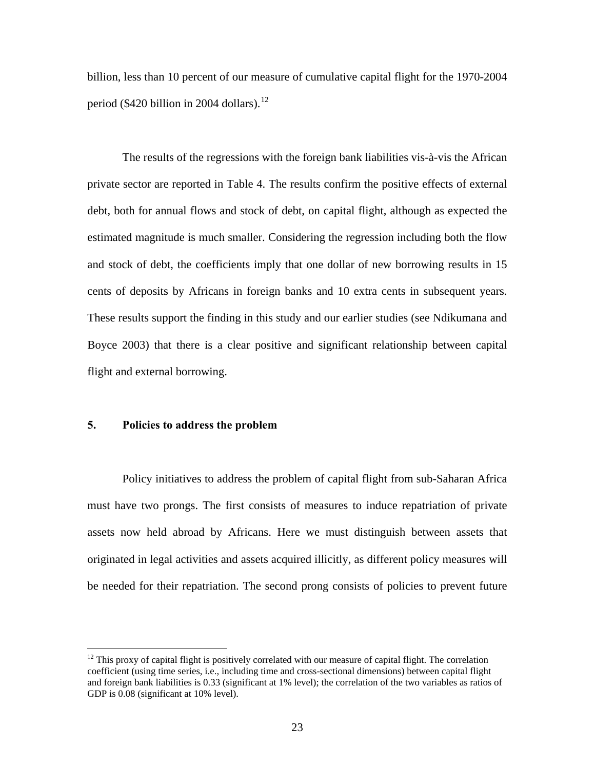<span id="page-24-0"></span>billion, less than 10 percent of our measure of cumulative capital flight for the 1970-2004 period (\$420 billion in 2004 dollars). $^{12}$  $^{12}$  $^{12}$ 

The results of the regressions with the foreign bank liabilities vis-à-vis the African private sector are reported in Table 4. The results confirm the positive effects of external debt, both for annual flows and stock of debt, on capital flight, although as expected the estimated magnitude is much smaller. Considering the regression including both the flow and stock of debt, the coefficients imply that one dollar of new borrowing results in 15 cents of deposits by Africans in foreign banks and 10 extra cents in subsequent years. These results support the finding in this study and our earlier studies (see Ndikumana and Boyce 2003) that there is a clear positive and significant relationship between capital flight and external borrowing.

#### **5. Policies to address the problem**

 $\overline{a}$ 

 Policy initiatives to address the problem of capital flight from sub-Saharan Africa must have two prongs. The first consists of measures to induce repatriation of private assets now held abroad by Africans. Here we must distinguish between assets that originated in legal activities and assets acquired illicitly, as different policy measures will be needed for their repatriation. The second prong consists of policies to prevent future

 $12$  This proxy of capital flight is positively correlated with our measure of capital flight. The correlation coefficient (using time series, i.e., including time and cross-sectional dimensions) between capital flight and foreign bank liabilities is 0.33 (significant at 1% level); the correlation of the two variables as ratios of GDP is 0.08 (significant at 10% level).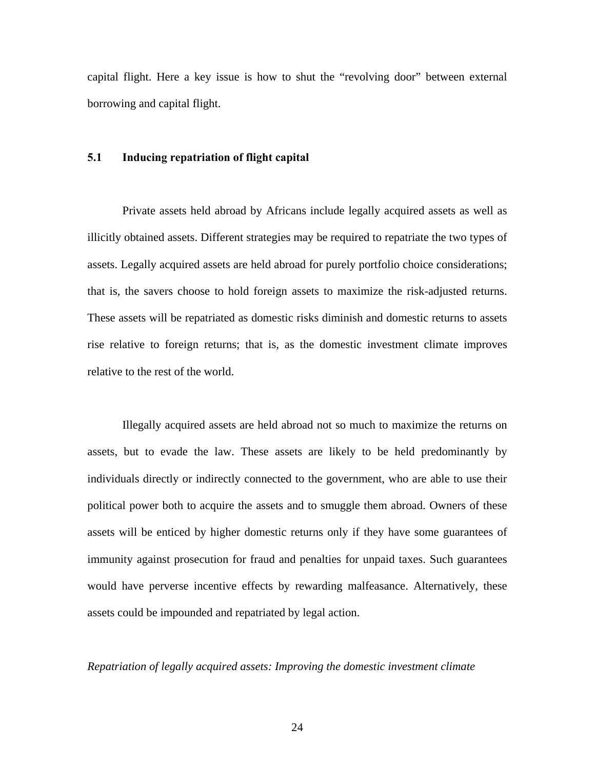capital flight. Here a key issue is how to shut the "revolving door" between external borrowing and capital flight.

#### **5.1 Inducing repatriation of flight capital**

Private assets held abroad by Africans include legally acquired assets as well as illicitly obtained assets. Different strategies may be required to repatriate the two types of assets. Legally acquired assets are held abroad for purely portfolio choice considerations; that is, the savers choose to hold foreign assets to maximize the risk-adjusted returns. These assets will be repatriated as domestic risks diminish and domestic returns to assets rise relative to foreign returns; that is, as the domestic investment climate improves relative to the rest of the world.

Illegally acquired assets are held abroad not so much to maximize the returns on assets, but to evade the law. These assets are likely to be held predominantly by individuals directly or indirectly connected to the government, who are able to use their political power both to acquire the assets and to smuggle them abroad. Owners of these assets will be enticed by higher domestic returns only if they have some guarantees of immunity against prosecution for fraud and penalties for unpaid taxes. Such guarantees would have perverse incentive effects by rewarding malfeasance. Alternatively, these assets could be impounded and repatriated by legal action.

#### *Repatriation of legally acquired assets: Improving the domestic investment climate*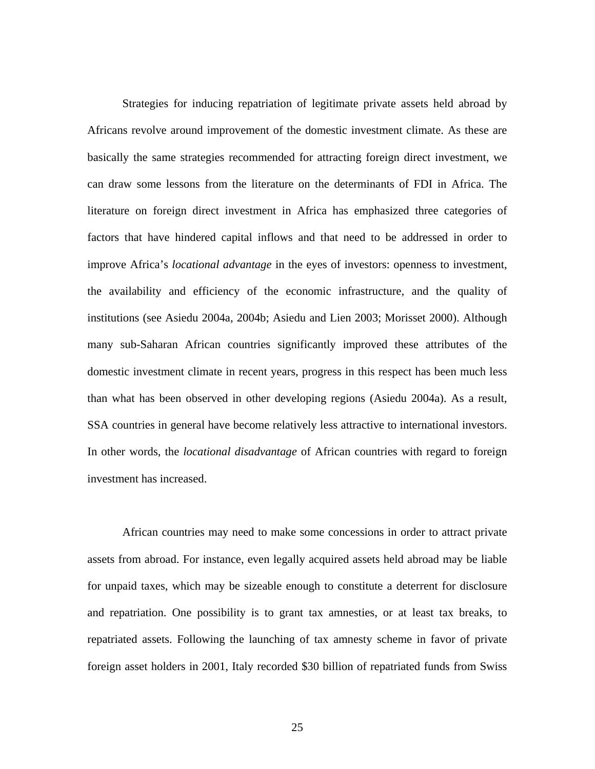Strategies for inducing repatriation of legitimate private assets held abroad by Africans revolve around improvement of the domestic investment climate. As these are basically the same strategies recommended for attracting foreign direct investment, we can draw some lessons from the literature on the determinants of FDI in Africa. The literature on foreign direct investment in Africa has emphasized three categories of factors that have hindered capital inflows and that need to be addressed in order to improve Africa's *locational advantage* in the eyes of investors: openness to investment, the availability and efficiency of the economic infrastructure, and the quality of institutions (see Asiedu 2004a, 2004b; Asiedu and Lien 2003; Morisset 2000). Although many sub-Saharan African countries significantly improved these attributes of the domestic investment climate in recent years, progress in this respect has been much less than what has been observed in other developing regions (Asiedu 2004a). As a result, SSA countries in general have become relatively less attractive to international investors. In other words, the *locational disadvantage* of African countries with regard to foreign investment has increased.

African countries may need to make some concessions in order to attract private assets from abroad. For instance, even legally acquired assets held abroad may be liable for unpaid taxes, which may be sizeable enough to constitute a deterrent for disclosure and repatriation. One possibility is to grant tax amnesties, or at least tax breaks, to repatriated assets. Following the launching of tax amnesty scheme in favor of private foreign asset holders in 2001, Italy recorded \$30 billion of repatriated funds from Swiss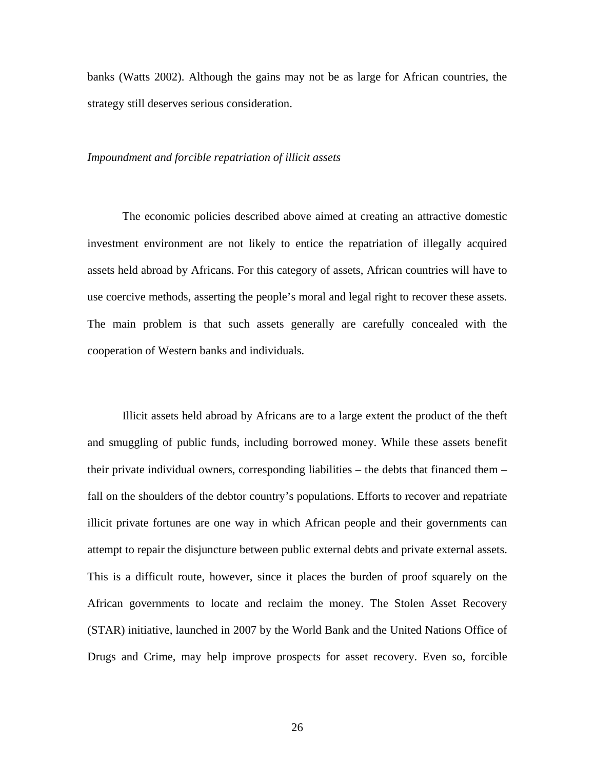banks (Watts 2002). Although the gains may not be as large for African countries, the strategy still deserves serious consideration.

#### *Impoundment and forcible repatriation of illicit assets*

The economic policies described above aimed at creating an attractive domestic investment environment are not likely to entice the repatriation of illegally acquired assets held abroad by Africans. For this category of assets, African countries will have to use coercive methods, asserting the people's moral and legal right to recover these assets. The main problem is that such assets generally are carefully concealed with the cooperation of Western banks and individuals.

Illicit assets held abroad by Africans are to a large extent the product of the theft and smuggling of public funds, including borrowed money. While these assets benefit their private individual owners, corresponding liabilities – the debts that financed them – fall on the shoulders of the debtor country's populations. Efforts to recover and repatriate illicit private fortunes are one way in which African people and their governments can attempt to repair the disjuncture between public external debts and private external assets. This is a difficult route, however, since it places the burden of proof squarely on the African governments to locate and reclaim the money. The Stolen Asset Recovery (STAR) initiative, launched in 2007 by the World Bank and the United Nations Office of Drugs and Crime, may help improve prospects for asset recovery. Even so, forcible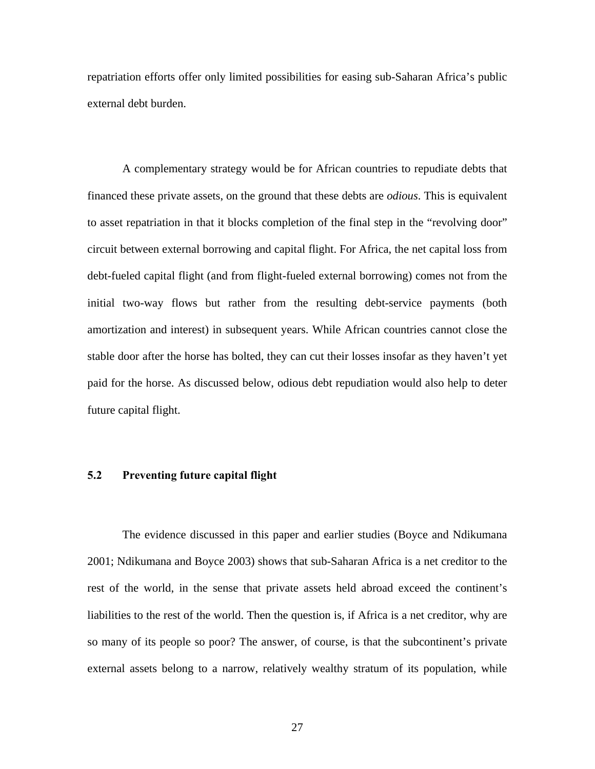repatriation efforts offer only limited possibilities for easing sub-Saharan Africa's public external debt burden.

A complementary strategy would be for African countries to repudiate debts that financed these private assets, on the ground that these debts are *odious*. This is equivalent to asset repatriation in that it blocks completion of the final step in the "revolving door" circuit between external borrowing and capital flight. For Africa, the net capital loss from debt-fueled capital flight (and from flight-fueled external borrowing) comes not from the initial two-way flows but rather from the resulting debt-service payments (both amortization and interest) in subsequent years. While African countries cannot close the stable door after the horse has bolted, they can cut their losses insofar as they haven't yet paid for the horse. As discussed below, odious debt repudiation would also help to deter future capital flight.

#### **5.2 Preventing future capital flight**

The evidence discussed in this paper and earlier studies (Boyce and Ndikumana 2001; Ndikumana and Boyce 2003) shows that sub-Saharan Africa is a net creditor to the rest of the world, in the sense that private assets held abroad exceed the continent's liabilities to the rest of the world. Then the question is, if Africa is a net creditor, why are so many of its people so poor? The answer, of course, is that the subcontinent's private external assets belong to a narrow, relatively wealthy stratum of its population, while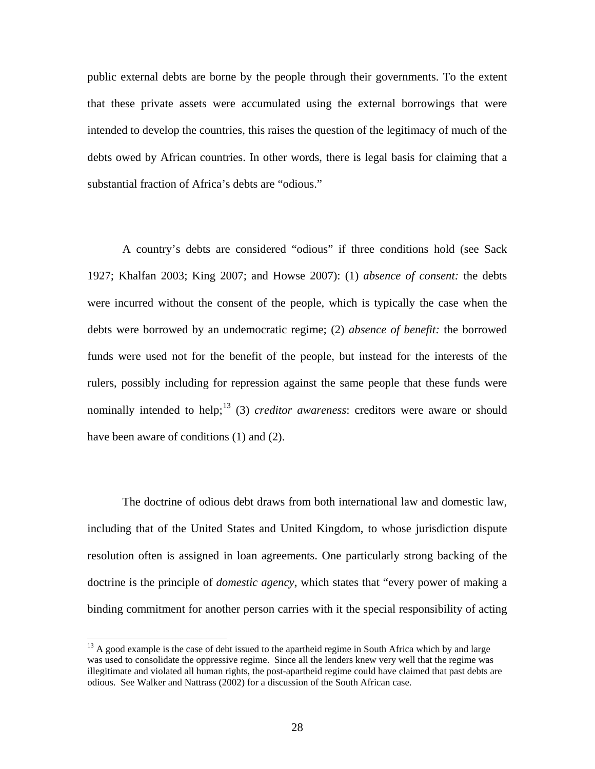<span id="page-29-0"></span>public external debts are borne by the people through their governments. To the extent that these private assets were accumulated using the external borrowings that were intended to develop the countries, this raises the question of the legitimacy of much of the debts owed by African countries. In other words, there is legal basis for claiming that a substantial fraction of Africa's debts are "odious."

A country's debts are considered "odious" if three conditions hold (see Sack 1927; Khalfan 2003; King 2007; and Howse 2007): (1) *absence of consent:* the debts were incurred without the consent of the people, which is typically the case when the debts were borrowed by an undemocratic regime; (2) *absence of benefit:* the borrowed funds were used not for the benefit of the people, but instead for the interests of the rulers, possibly including for repression against the same people that these funds were nominally intended to help;<sup>[13](#page-29-0)</sup> (3) *creditor awareness*: creditors were aware or should have been aware of conditions (1) and (2).

The doctrine of odious debt draws from both international law and domestic law, including that of the United States and United Kingdom, to whose jurisdiction dispute resolution often is assigned in loan agreements. One particularly strong backing of the doctrine is the principle of *domestic agency*, which states that "every power of making a binding commitment for another person carries with it the special responsibility of acting

1

 $13$  A good example is the case of debt issued to the apartheid regime in South Africa which by and large was used to consolidate the oppressive regime. Since all the lenders knew very well that the regime was illegitimate and violated all human rights, the post-apartheid regime could have claimed that past debts are odious. See Walker and Nattrass (2002) for a discussion of the South African case.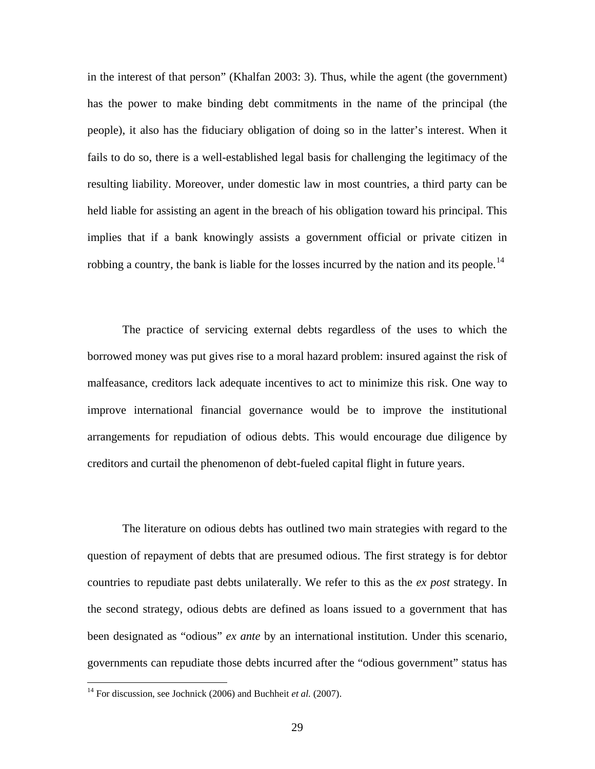<span id="page-30-0"></span>in the interest of that person" (Khalfan 2003: 3). Thus, while the agent (the government) has the power to make binding debt commitments in the name of the principal (the people), it also has the fiduciary obligation of doing so in the latter's interest. When it fails to do so, there is a well-established legal basis for challenging the legitimacy of the resulting liability. Moreover, under domestic law in most countries, a third party can be held liable for assisting an agent in the breach of his obligation toward his principal. This implies that if a bank knowingly assists a government official or private citizen in robbing a country, the bank is liable for the losses incurred by the nation and its people.<sup>[1](#page-30-0)4</sup>

The practice of servicing external debts regardless of the uses to which the borrowed money was put gives rise to a moral hazard problem: insured against the risk of malfeasance, creditors lack adequate incentives to act to minimize this risk. One way to improve international financial governance would be to improve the institutional arrangements for repudiation of odious debts. This would encourage due diligence by creditors and curtail the phenomenon of debt-fueled capital flight in future years.

The literature on odious debts has outlined two main strategies with regard to the question of repayment of debts that are presumed odious. The first strategy is for debtor countries to repudiate past debts unilaterally. We refer to this as the *ex post* strategy. In the second strategy, odious debts are defined as loans issued to a government that has been designated as "odious" *ex ante* by an international institution. Under this scenario, governments can repudiate those debts incurred after the "odious government" status has

<u>.</u>

<sup>&</sup>lt;sup>14</sup> For discussion, see Jochnick (2006) and Buchheit *et al.* (2007).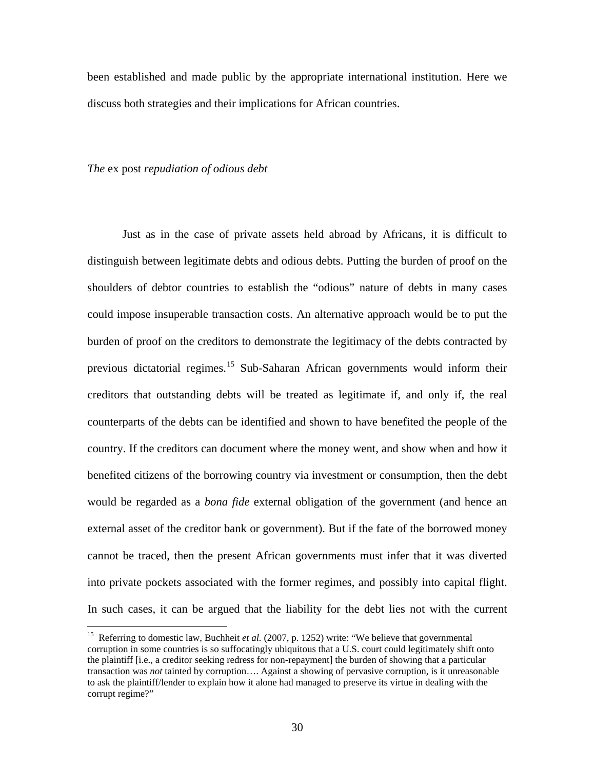<span id="page-31-0"></span>been established and made public by the appropriate international institution. Here we discuss both strategies and their implications for African countries.

#### *The* ex post *repudiation of odious debt*

 $\overline{a}$ 

Just as in the case of private assets held abroad by Africans, it is difficult to distinguish between legitimate debts and odious debts. Putting the burden of proof on the shoulders of debtor countries to establish the "odious" nature of debts in many cases could impose insuperable transaction costs. An alternative approach would be to put the burden of proof on the creditors to demonstrate the legitimacy of the debts contracted by previous dictatorial regimes.[1](#page-31-0)5 Sub-Saharan African governments would inform their creditors that outstanding debts will be treated as legitimate if, and only if, the real counterparts of the debts can be identified and shown to have benefited the people of the country. If the creditors can document where the money went, and show when and how it benefited citizens of the borrowing country via investment or consumption, then the debt would be regarded as a *bona fide* external obligation of the government (and hence an external asset of the creditor bank or government). But if the fate of the borrowed money cannot be traced, then the present African governments must infer that it was diverted into private pockets associated with the former regimes, and possibly into capital flight. In such cases, it can be argued that the liability for the debt lies not with the current

<sup>&</sup>lt;sup>15</sup> Referring to domestic law, Buchheit *et al.* (2007, p. 1252) write: "We believe that governmental corruption in some countries is so suffocatingly ubiquitous that a U.S. court could legitimately shift onto the plaintiff [i.e., a creditor seeking redress for non-repayment] the burden of showing that a particular transaction was *not* tainted by corruption…. Against a showing of pervasive corruption, is it unreasonable to ask the plaintiff/lender to explain how it alone had managed to preserve its virtue in dealing with the corrupt regime?"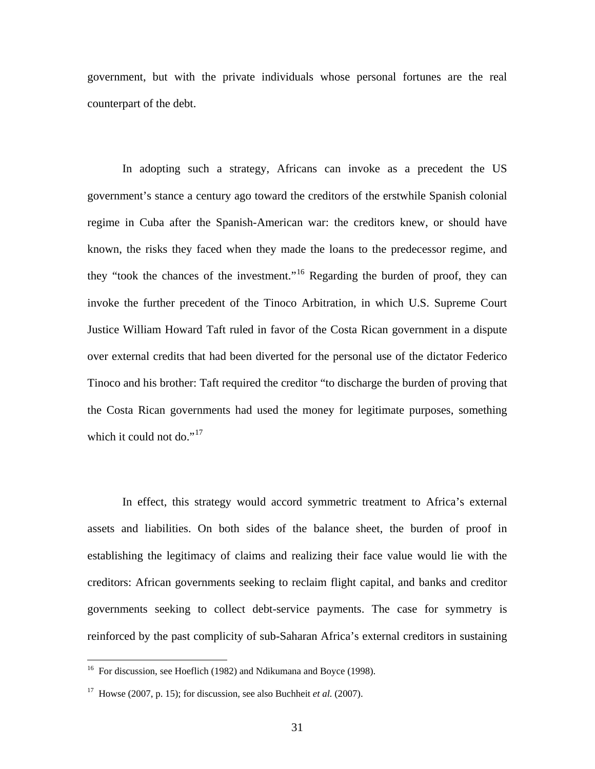<span id="page-32-0"></span>government, but with the private individuals whose personal fortunes are the real counterpart of the debt.

In adopting such a strategy, Africans can invoke as a precedent the US government's stance a century ago toward the creditors of the erstwhile Spanish colonial regime in Cuba after the Spanish-American war: the creditors knew, or should have known, the risks they faced when they made the loans to the predecessor regime, and they "took the chances of the investment."[1](#page-32-0)6 Regarding the burden of proof, they can invoke the further precedent of the Tinoco Arbitration, in which U.S. Supreme Court Justice William Howard Taft ruled in favor of the Costa Rican government in a dispute over external credits that had been diverted for the personal use of the dictator Federico Tinoco and his brother: Taft required the creditor "to discharge the burden of proving that the Costa Rican governments had used the money for legitimate purposes, something which it could not do."<sup>[17](#page-32-0)</sup>

In effect, this strategy would accord symmetric treatment to Africa's external assets and liabilities. On both sides of the balance sheet, the burden of proof in establishing the legitimacy of claims and realizing their face value would lie with the creditors: African governments seeking to reclaim flight capital, and banks and creditor governments seeking to collect debt-service payments. The case for symmetry is reinforced by the past complicity of sub-Saharan Africa's external creditors in sustaining

 $\overline{a}$ 

<sup>&</sup>lt;sup>16</sup> For discussion, see Hoeflich (1982) and Ndikumana and Boyce (1998).

<sup>&</sup>lt;sup>17</sup> Howse (2007, p. 15); for discussion, see also Buchheit *et al.* (2007).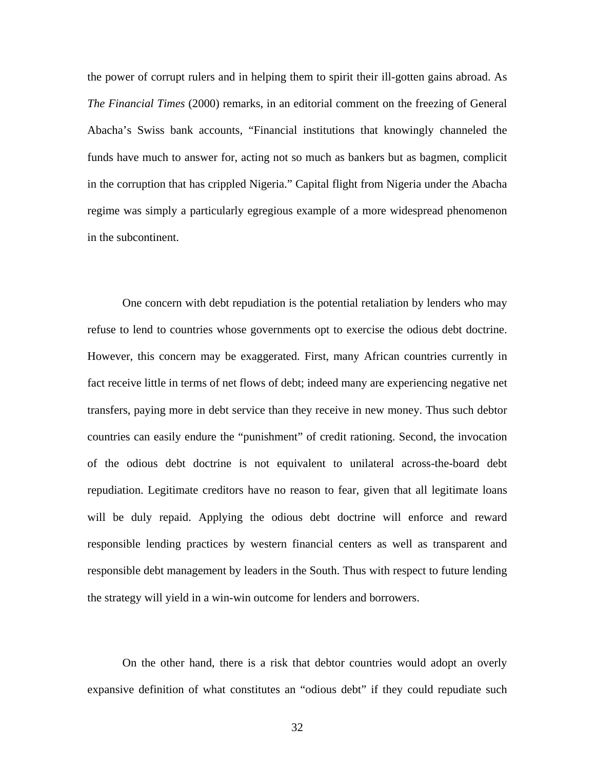the power of corrupt rulers and in helping them to spirit their ill-gotten gains abroad. As *The Financial Times* (2000) remarks, in an editorial comment on the freezing of General Abacha's Swiss bank accounts, "Financial institutions that knowingly channeled the funds have much to answer for, acting not so much as bankers but as bagmen, complicit in the corruption that has crippled Nigeria." Capital flight from Nigeria under the Abacha regime was simply a particularly egregious example of a more widespread phenomenon in the subcontinent.

One concern with debt repudiation is the potential retaliation by lenders who may refuse to lend to countries whose governments opt to exercise the odious debt doctrine. However, this concern may be exaggerated. First, many African countries currently in fact receive little in terms of net flows of debt; indeed many are experiencing negative net transfers, paying more in debt service than they receive in new money. Thus such debtor countries can easily endure the "punishment" of credit rationing. Second, the invocation of the odious debt doctrine is not equivalent to unilateral across-the-board debt repudiation. Legitimate creditors have no reason to fear, given that all legitimate loans will be duly repaid. Applying the odious debt doctrine will enforce and reward responsible lending practices by western financial centers as well as transparent and responsible debt management by leaders in the South. Thus with respect to future lending the strategy will yield in a win-win outcome for lenders and borrowers.

On the other hand, there is a risk that debtor countries would adopt an overly expansive definition of what constitutes an "odious debt" if they could repudiate such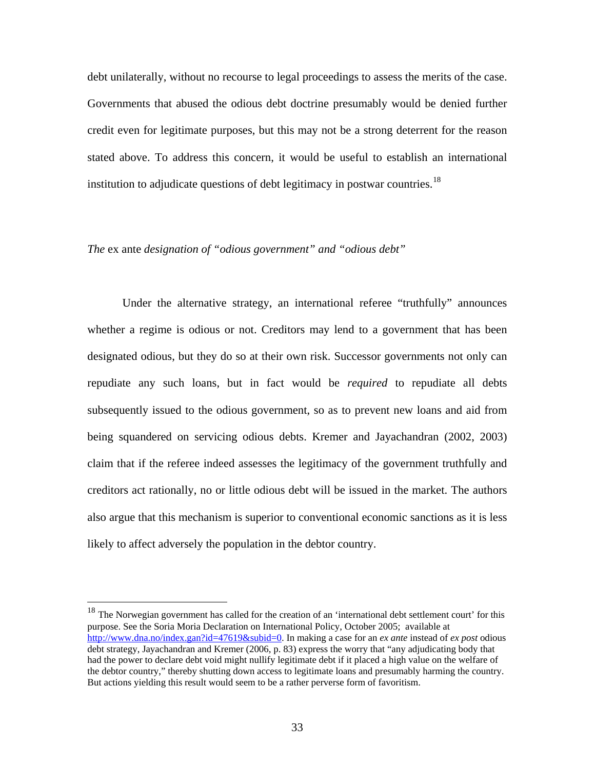<span id="page-34-0"></span>debt unilaterally, without no recourse to legal proceedings to assess the merits of the case. Governments that abused the odious debt doctrine presumably would be denied further credit even for legitimate purposes, but this may not be a strong deterrent for the reason stated above. To address this concern, it would be useful to establish an international institution to adjudicate questions of debt legitimacy in postwar countries.<sup>[18](#page-34-0)</sup>

#### *The* ex ante *designation of "odious government" and "odious debt"*

Under the alternative strategy, an international referee "truthfully" announces whether a regime is odious or not. Creditors may lend to a government that has been designated odious, but they do so at their own risk. Successor governments not only can repudiate any such loans, but in fact would be *required* to repudiate all debts subsequently issued to the odious government, so as to prevent new loans and aid from being squandered on servicing odious debts. Kremer and Jayachandran (2002, 2003) claim that if the referee indeed assesses the legitimacy of the government truthfully and creditors act rationally, no or little odious debt will be issued in the market. The authors also argue that this mechanism is superior to conventional economic sanctions as it is less likely to affect adversely the population in the debtor country.

 $\overline{a}$ 

<sup>&</sup>lt;sup>18</sup> The Norwegian government has called for the creation of an 'international debt settlement court' for this purpose. See the Soria Moria Declaration on International Policy, October 2005; available at http://www.dna.no/index.gan?id=47619&subid=0. In making a case for an *ex ante* instead of *ex post* odious debt strategy, Jayachandran and Kremer (2006, p. 83) express the worry that "any adjudicating body that had the power to declare debt void might nullify legitimate debt if it placed a high value on the welfare of the debtor country," thereby shutting down access to legitimate loans and presumably harming the country. But actions yielding this result would seem to be a rather perverse form of favoritism.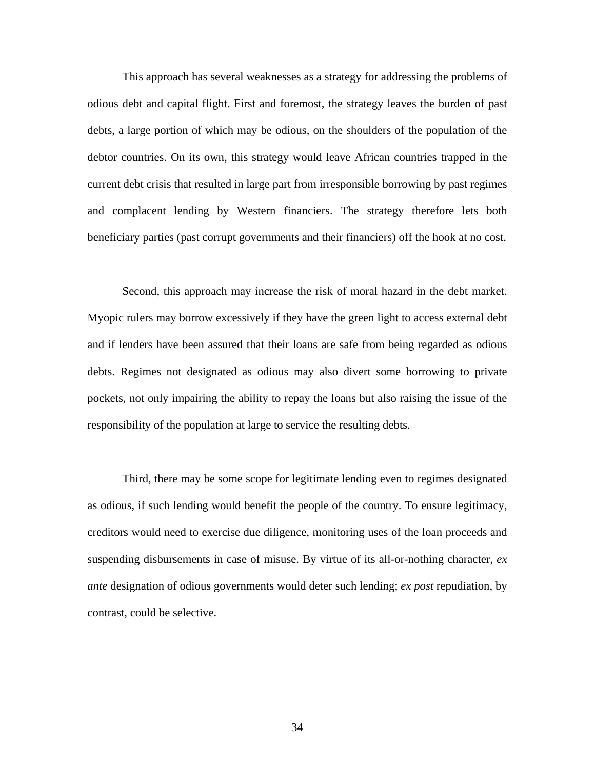This approach has several weaknesses as a strategy for addressing the problems of odious debt and capital flight. First and foremost, the strategy leaves the burden of past debts, a large portion of which may be odious, on the shoulders of the population of the debtor countries. On its own, this strategy would leave African countries trapped in the current debt crisis that resulted in large part from irresponsible borrowing by past regimes and complacent lending by Western financiers. The strategy therefore lets both beneficiary parties (past corrupt governments and their financiers) off the hook at no cost.

Second, this approach may increase the risk of moral hazard in the debt market. Myopic rulers may borrow excessively if they have the green light to access external debt and if lenders have been assured that their loans are safe from being regarded as odious debts. Regimes not designated as odious may also divert some borrowing to private pockets, not only impairing the ability to repay the loans but also raising the issue of the responsibility of the population at large to service the resulting debts.

Third, there may be some scope for legitimate lending even to regimes designated as odious, if such lending would benefit the people of the country. To ensure legitimacy, creditors would need to exercise due diligence, monitoring uses of the loan proceeds and suspending disbursements in case of misuse. By virtue of its all-or-nothing character, *ex ante* designation of odious governments would deter such lending; *ex post* repudiation, by contrast, could be selective.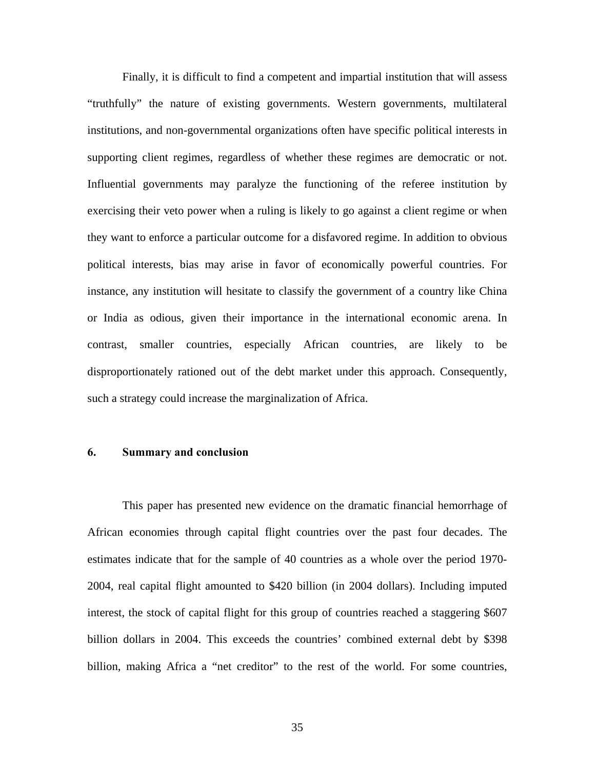Finally, it is difficult to find a competent and impartial institution that will assess "truthfully" the nature of existing governments. Western governments, multilateral institutions, and non-governmental organizations often have specific political interests in supporting client regimes, regardless of whether these regimes are democratic or not. Influential governments may paralyze the functioning of the referee institution by exercising their veto power when a ruling is likely to go against a client regime or when they want to enforce a particular outcome for a disfavored regime. In addition to obvious political interests, bias may arise in favor of economically powerful countries. For instance, any institution will hesitate to classify the government of a country like China or India as odious, given their importance in the international economic arena. In contrast, smaller countries, especially African countries, are likely to be disproportionately rationed out of the debt market under this approach. Consequently, such a strategy could increase the marginalization of Africa.

#### **6. Summary and conclusion**

This paper has presented new evidence on the dramatic financial hemorrhage of African economies through capital flight countries over the past four decades. The estimates indicate that for the sample of 40 countries as a whole over the period 1970- 2004, real capital flight amounted to \$420 billion (in 2004 dollars). Including imputed interest, the stock of capital flight for this group of countries reached a staggering \$607 billion dollars in 2004. This exceeds the countries' combined external debt by \$398 billion, making Africa a "net creditor" to the rest of the world. For some countries,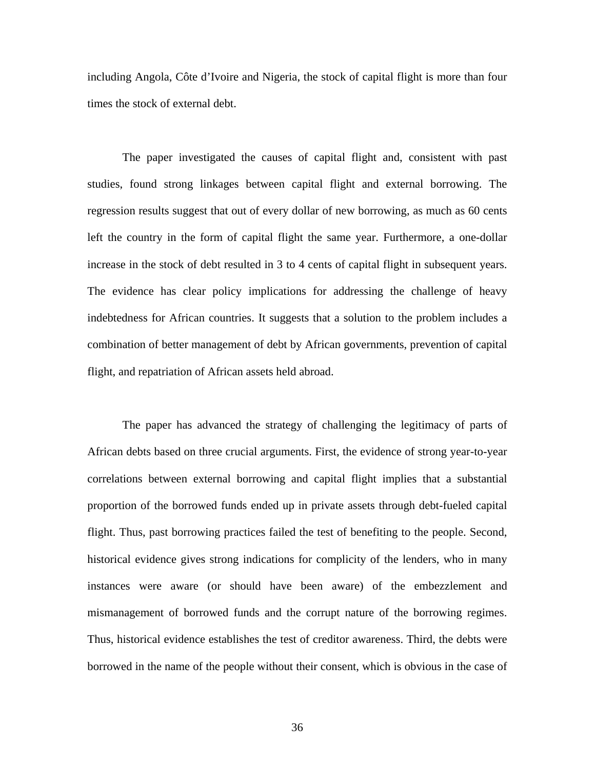including Angola, Côte d'Ivoire and Nigeria, the stock of capital flight is more than four times the stock of external debt.

The paper investigated the causes of capital flight and, consistent with past studies, found strong linkages between capital flight and external borrowing. The regression results suggest that out of every dollar of new borrowing, as much as 60 cents left the country in the form of capital flight the same year. Furthermore, a one-dollar increase in the stock of debt resulted in 3 to 4 cents of capital flight in subsequent years. The evidence has clear policy implications for addressing the challenge of heavy indebtedness for African countries. It suggests that a solution to the problem includes a combination of better management of debt by African governments, prevention of capital flight, and repatriation of African assets held abroad.

The paper has advanced the strategy of challenging the legitimacy of parts of African debts based on three crucial arguments. First, the evidence of strong year-to-year correlations between external borrowing and capital flight implies that a substantial proportion of the borrowed funds ended up in private assets through debt-fueled capital flight. Thus, past borrowing practices failed the test of benefiting to the people. Second, historical evidence gives strong indications for complicity of the lenders, who in many instances were aware (or should have been aware) of the embezzlement and mismanagement of borrowed funds and the corrupt nature of the borrowing regimes. Thus, historical evidence establishes the test of creditor awareness. Third, the debts were borrowed in the name of the people without their consent, which is obvious in the case of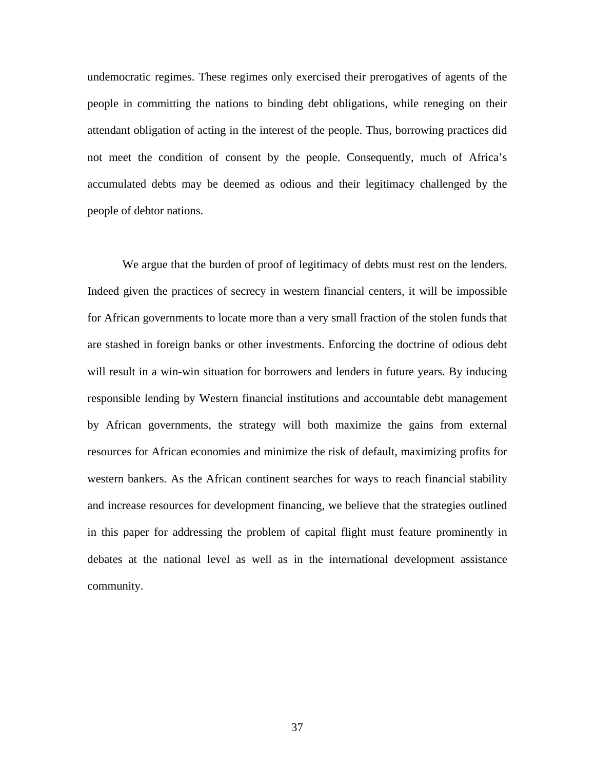undemocratic regimes. These regimes only exercised their prerogatives of agents of the people in committing the nations to binding debt obligations, while reneging on their attendant obligation of acting in the interest of the people. Thus, borrowing practices did not meet the condition of consent by the people. Consequently, much of Africa's accumulated debts may be deemed as odious and their legitimacy challenged by the people of debtor nations.

We argue that the burden of proof of legitimacy of debts must rest on the lenders. Indeed given the practices of secrecy in western financial centers, it will be impossible for African governments to locate more than a very small fraction of the stolen funds that are stashed in foreign banks or other investments. Enforcing the doctrine of odious debt will result in a win-win situation for borrowers and lenders in future years. By inducing responsible lending by Western financial institutions and accountable debt management by African governments, the strategy will both maximize the gains from external resources for African economies and minimize the risk of default, maximizing profits for western bankers. As the African continent searches for ways to reach financial stability and increase resources for development financing, we believe that the strategies outlined in this paper for addressing the problem of capital flight must feature prominently in debates at the national level as well as in the international development assistance community.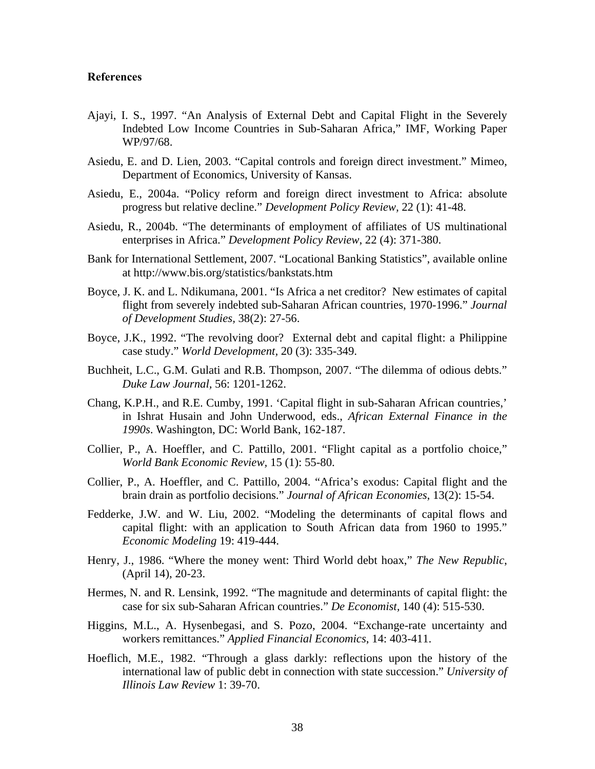#### **References**

- Ajayi, I. S., 1997. "An Analysis of External Debt and Capital Flight in the Severely Indebted Low Income Countries in Sub-Saharan Africa," IMF, Working Paper WP/97/68.
- Asiedu, E. and D. Lien, 2003. "Capital controls and foreign direct investment." Mimeo, Department of Economics, University of Kansas.
- Asiedu, E., 2004a. "Policy reform and foreign direct investment to Africa: absolute progress but relative decline." *Development Policy Review,* 22 (1): 41-48.
- Asiedu, R., 2004b. "The determinants of employment of affiliates of US multinational enterprises in Africa." *Development Policy Review*, 22 (4): 371-380.
- Bank for International Settlement, 2007. "Locational Banking Statistics", available online at http://www.bis.org/statistics/bankstats.htm
- Boyce, J. K. and L. Ndikumana, 2001. "Is Africa a net creditor? New estimates of capital flight from severely indebted sub-Saharan African countries, 1970-1996." *Journal of Development Studies,* 38(2): 27-56.
- Boyce, J.K., 1992. "The revolving door? External debt and capital flight: a Philippine case study." *World Development,* 20 (3): 335-349.
- Buchheit, L.C., G.M. Gulati and R.B. Thompson, 2007. "The dilemma of odious debts." *Duke Law Journal,* 56: 1201-1262.
- Chang, K.P.H., and R.E. Cumby, 1991. 'Capital flight in sub-Saharan African countries,' in Ishrat Husain and John Underwood, eds., *African External Finance in the 1990s*. Washington, DC: World Bank, 162-187.
- Collier, P., A. Hoeffler, and C. Pattillo, 2001. "Flight capital as a portfolio choice," *World Bank Economic Review,* 15 (1): 55-80.
- Collier, P., A. Hoeffler, and C. Pattillo, 2004. "Africa's exodus: Capital flight and the brain drain as portfolio decisions." *Journal of African Economies*, 13(2): 15-54.
- Fedderke, J.W. and W. Liu, 2002. "Modeling the determinants of capital flows and capital flight: with an application to South African data from 1960 to 1995." *Economic Modeling* 19: 419-444.
- Henry, J., 1986. "Where the money went: Third World debt hoax," *The New Republic*, (April 14), 20-23.
- Hermes, N. and R. Lensink, 1992. "The magnitude and determinants of capital flight: the case for six sub-Saharan African countries." *De Economist,* 140 (4): 515-530.
- Higgins, M.L., A. Hysenbegasi, and S. Pozo, 2004. "Exchange-rate uncertainty and workers remittances." *Applied Financial Economics*, 14: 403-411.
- Hoeflich, M.E., 1982. "Through a glass darkly: reflections upon the history of the international law of public debt in connection with state succession." *University of Illinois Law Review* 1: 39-70.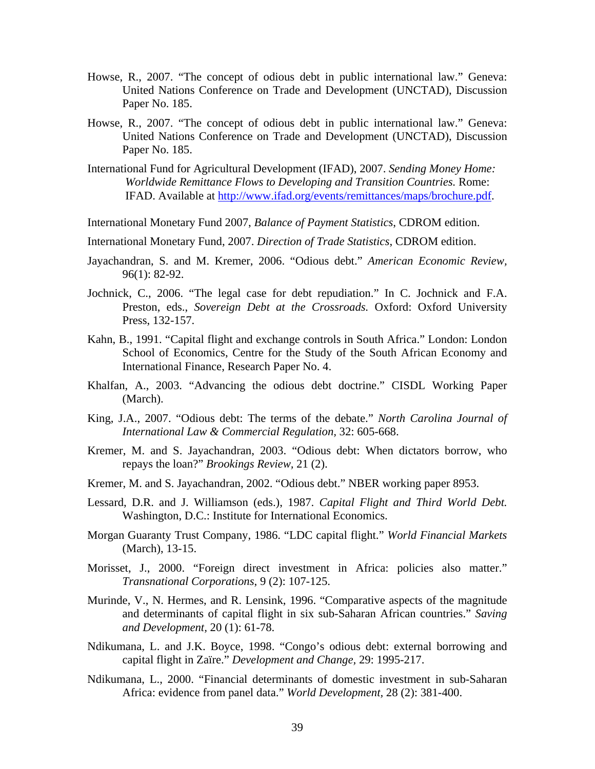- Howse, R., 2007. "The concept of odious debt in public international law." Geneva: United Nations Conference on Trade and Development (UNCTAD), Discussion Paper No. 185.
- Howse, R., 2007. "The concept of odious debt in public international law." Geneva: United Nations Conference on Trade and Development (UNCTAD), Discussion Paper No. 185.
- International Fund for Agricultural Development (IFAD), 2007. *Sending Money Home: Worldwide Remittance Flows to Developing and Transition Countries.* Rome: IFAD. Available at [http://www.ifad.org/events/remittances/maps/brochure.pdf.](http://www.ifad.org/events/remittances/maps/brochure.pdf)

International Monetary Fund 2007, *Balance of Payment Statistics*, CDROM edition.

International Monetary Fund, 2007. *Direction of Trade Statistics*, CDROM edition.

- Jayachandran, S. and M. Kremer, 2006. "Odious debt." *American Economic Review,*  96(1): 82-92.
- Jochnick, C., 2006. "The legal case for debt repudiation." In C. Jochnick and F.A. Preston, eds., *Sovereign Debt at the Crossroads.* Oxford: Oxford University Press, 132-157.
- Kahn, B., 1991. "Capital flight and exchange controls in South Africa." London: London School of Economics, Centre for the Study of the South African Economy and International Finance, Research Paper No. 4.
- Khalfan, A., 2003. "Advancing the odious debt doctrine." CISDL Working Paper (March).
- King, J.A., 2007. "Odious debt: The terms of the debate." *North Carolina Journal of International Law & Commercial Regulation,* 32: 605-668.
- Kremer, M. and S. Jayachandran, 2003. "Odious debt: When dictators borrow, who repays the loan?" *Brookings Review,* 21 (2).
- Kremer, M. and S. Jayachandran, 2002. "Odious debt." NBER working paper 8953.
- Lessard, D.R. and J. Williamson (eds.), 1987. *Capital Flight and Third World Debt.* Washington, D.C.: Institute for International Economics.
- Morgan Guaranty Trust Company, 1986. "LDC capital flight." *World Financial Markets*  (March), 13-15.
- Morisset, J., 2000. "Foreign direct investment in Africa: policies also matter." *Transnational Corporations*, 9 (2): 107-125.
- Murinde, V., N. Hermes, and R. Lensink, 1996. "Comparative aspects of the magnitude and determinants of capital flight in six sub-Saharan African countries." *Saving and Development,* 20 (1): 61-78.
- Ndikumana, L. and J.K. Boyce, 1998. "Congo's odious debt: external borrowing and capital flight in Zaïre." *Development and Change,* 29: 1995-217.
- Ndikumana, L., 2000. "Financial determinants of domestic investment in sub-Saharan Africa: evidence from panel data." *World Development,* 28 (2): 381-400.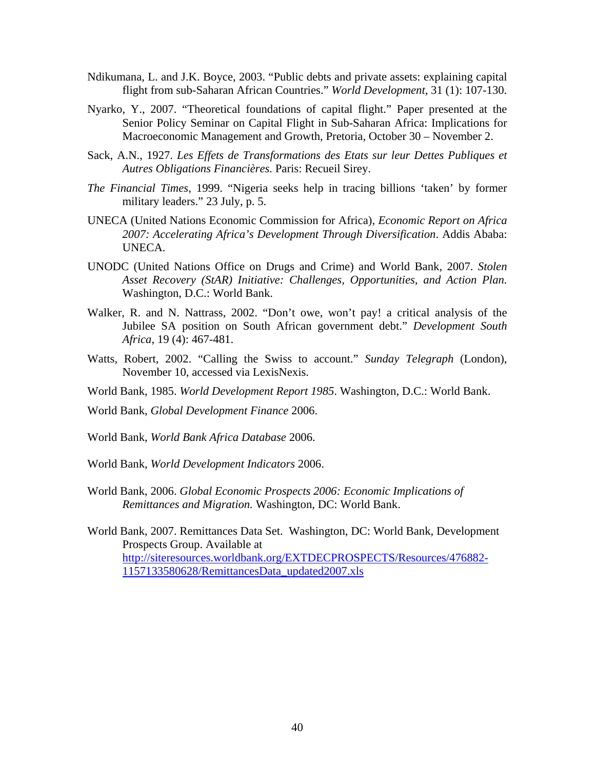- Ndikumana, L. and J.K. Boyce, 2003. "Public debts and private assets: explaining capital flight from sub-Saharan African Countries." *World Development,* 31 (1): 107-130.
- Nyarko, Y., 2007. "Theoretical foundations of capital flight." Paper presented at the Senior Policy Seminar on Capital Flight in Sub-Saharan Africa: Implications for Macroeconomic Management and Growth, Pretoria, October 30 – November 2.
- Sack, A.N., 1927. *Les Effets de Transformations des Etats sur leur Dettes Publiques et Autres Obligations Financières.* Paris: Recueil Sirey.
- *The Financial Times*, 1999. "Nigeria seeks help in tracing billions 'taken' by former military leaders." 23 July, p. 5.
- UNECA (United Nations Economic Commission for Africa), *Economic Report on Africa 2007: Accelerating Africa's Development Through Diversification*. Addis Ababa: UNECA.
- UNODC (United Nations Office on Drugs and Crime) and World Bank, 2007. *Stolen Asset Recovery (StAR) Initiative: Challenges, Opportunities, and Action Plan.* Washington, D.C.: World Bank.
- Walker, R. and N. Nattrass, 2002. "Don't owe, won't pay! a critical analysis of the Jubilee SA position on South African government debt." *Development South Africa*, 19 (4): 467-481.
- Watts, Robert, 2002. "Calling the Swiss to account." *Sunday Telegraph* (London), November 10, accessed via LexisNexis.
- World Bank, 1985. *World Development Report 1985*. Washington, D.C.: World Bank.
- World Bank, *Global Development Finance* 2006.

World Bank, *World Bank Africa Database* 2006.

- World Bank, *World Development Indicators* 2006.
- World Bank, 2006. *Global Economic Prospects 2006: Economic Implications of Remittances and Migration.* Washington, DC: World Bank.
- World Bank, 2007. Remittances Data Set. Washington, DC: World Bank, Development Prospects Group. Available at [http://siteresources.worldbank.org/EXTDECPROSPECTS/Resources/476882-](http://siteresources.worldbank.org/EXTDECPROSPECTS/Resources/476882-1157133580628/RemittancesData_updated2007.xls) [1157133580628/RemittancesData\\_updated2007.xls](http://siteresources.worldbank.org/EXTDECPROSPECTS/Resources/476882-1157133580628/RemittancesData_updated2007.xls)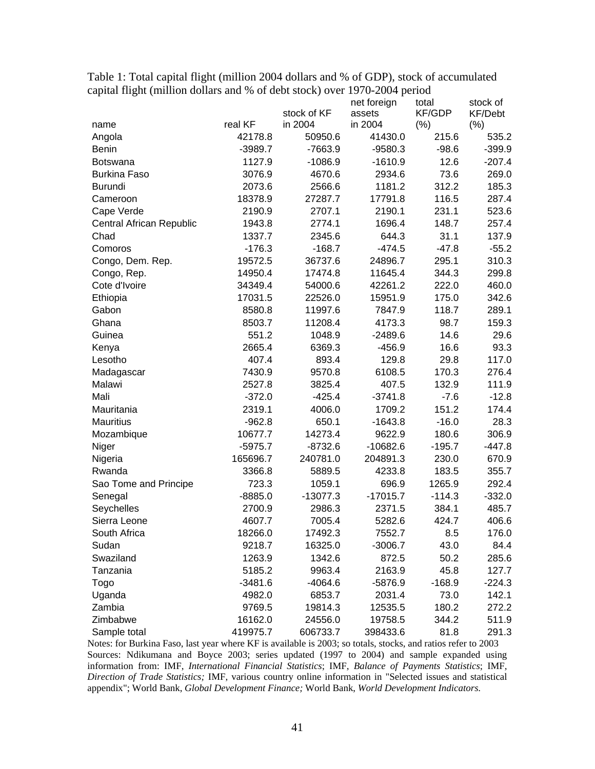Table 1: Total capital flight (million 2004 dollars and % of GDP), stock of accumulated capital flight (million dollars and % of debt stock) over 1970-2004 period

|                          |           |             | net foreign | total         | stock of       |
|--------------------------|-----------|-------------|-------------|---------------|----------------|
|                          |           | stock of KF | assets      | <b>KF/GDP</b> | <b>KF/Debt</b> |
| name                     | real KF   | in 2004     | in 2004     | $(\%)$        | (%)            |
| Angola                   | 42178.8   | 50950.6     | 41430.0     | 215.6         | 535.2          |
| <b>Benin</b>             | $-3989.7$ | $-7663.9$   | $-9580.3$   | $-98.6$       | $-399.9$       |
| Botswana                 | 1127.9    | $-1086.9$   | $-1610.9$   | 12.6          | $-207.4$       |
| <b>Burkina Faso</b>      | 3076.9    | 4670.6      | 2934.6      | 73.6          | 269.0          |
| <b>Burundi</b>           | 2073.6    | 2566.6      | 1181.2      | 312.2         | 185.3          |
| Cameroon                 | 18378.9   | 27287.7     | 17791.8     | 116.5         | 287.4          |
| Cape Verde               | 2190.9    | 2707.1      | 2190.1      | 231.1         | 523.6          |
| Central African Republic | 1943.8    | 2774.1      | 1696.4      | 148.7         | 257.4          |
| Chad                     | 1337.7    | 2345.6      | 644.3       | 31.1          | 137.9          |
| Comoros                  | $-176.3$  | $-168.7$    | $-474.5$    | $-47.8$       | $-55.2$        |
| Congo, Dem. Rep.         | 19572.5   | 36737.6     | 24896.7     | 295.1         | 310.3          |
| Congo, Rep.              | 14950.4   | 17474.8     | 11645.4     | 344.3         | 299.8          |
| Cote d'Ivoire            | 34349.4   | 54000.6     | 42261.2     | 222.0         | 460.0          |
| Ethiopia                 | 17031.5   | 22526.0     | 15951.9     | 175.0         | 342.6          |
| Gabon                    | 8580.8    | 11997.6     | 7847.9      | 118.7         | 289.1          |
| Ghana                    | 8503.7    | 11208.4     | 4173.3      | 98.7          | 159.3          |
| Guinea                   | 551.2     | 1048.9      | $-2489.6$   | 14.6          | 29.6           |
| Kenya                    | 2665.4    | 6369.3      | $-456.9$    | 16.6          | 93.3           |
| Lesotho                  | 407.4     | 893.4       | 129.8       | 29.8          | 117.0          |
| Madagascar               | 7430.9    | 9570.8      | 6108.5      | 170.3         | 276.4          |
| Malawi                   | 2527.8    | 3825.4      | 407.5       | 132.9         | 111.9          |
| Mali                     | $-372.0$  | $-425.4$    | $-3741.8$   | $-7.6$        | $-12.8$        |
| Mauritania               | 2319.1    | 4006.0      | 1709.2      | 151.2         | 174.4          |
| <b>Mauritius</b>         | $-962.8$  | 650.1       | $-1643.8$   | $-16.0$       | 28.3           |
| Mozambique               | 10677.7   | 14273.4     | 9622.9      | 180.6         | 306.9          |
| Niger                    | $-5975.7$ | $-8732.6$   | $-10682.6$  | $-195.7$      | $-447.8$       |
| Nigeria                  | 165696.7  | 240781.0    | 204891.3    | 230.0         | 670.9          |
| Rwanda                   | 3366.8    | 5889.5      | 4233.8      | 183.5         | 355.7          |
| Sao Tome and Principe    | 723.3     | 1059.1      | 696.9       | 1265.9        | 292.4          |
| Senegal                  | $-8885.0$ | $-13077.3$  | $-17015.7$  | $-114.3$      | $-332.0$       |
| Seychelles               | 2700.9    | 2986.3      | 2371.5      | 384.1         | 485.7          |
| Sierra Leone             | 4607.7    | 7005.4      | 5282.6      | 424.7         | 406.6          |
| South Africa             | 18266.0   | 17492.3     | 7552.7      | 8.5           | 176.0          |
| Sudan                    | 9218.7    | 16325.0     | $-3006.7$   | 43.0          | 84.4           |
| Swaziland                | 1263.9    | 1342.6      | 872.5       | 50.2          | 285.6          |
| Tanzania                 | 5185.2    | 9963.4      | 2163.9      | 45.8          | 127.7          |
| Togo                     | $-3481.6$ | $-4064.6$   | $-5876.9$   | $-168.9$      | $-224.3$       |
| Uganda                   | 4982.0    | 6853.7      | 2031.4      | 73.0          | 142.1          |
| Zambia                   | 9769.5    | 19814.3     | 12535.5     | 180.2         | 272.2          |
| Zimbabwe                 | 16162.0   | 24556.0     | 19758.5     | 344.2         | 511.9          |
| Sample total             | 419975.7  | 606733.7    | 398433.6    | 81.8          | 291.3          |

Notes: for Burkina Faso, last year where KF is available is 2003; so totals, stocks, and ratios refer to 2003 Sources: Ndikumana and Boyce 2003; series updated (1997 to 2004) and sample expanded using information from: IMF, *International Financial Statistics*; IMF, *Balance of Payments Statistics*; IMF, *Direction of Trade Statistics;* IMF, various country online information in "Selected issues and statistical appendix"; World Bank, *Global Development Finance;* World Bank, *World Development Indicators*.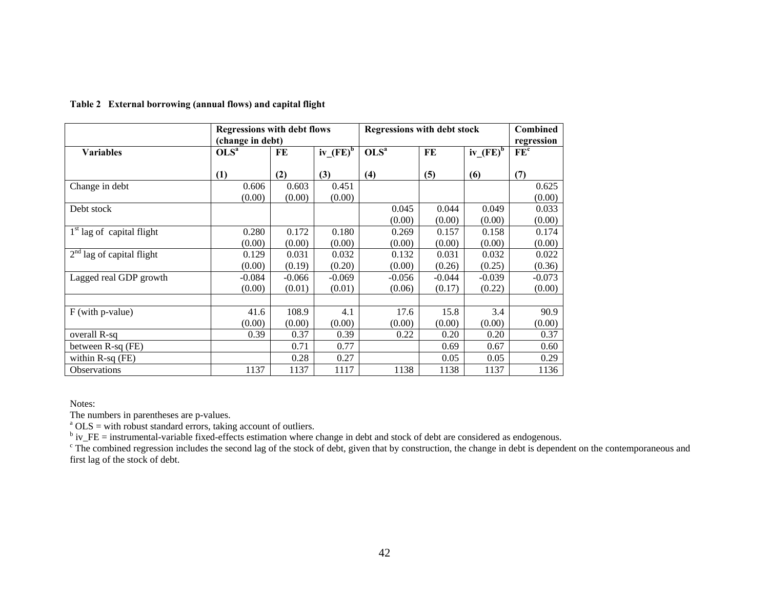|                             | <b>Regressions with debt flows</b> |          |                  | <b>Regressions with debt stock</b> |          |                  | Combined        |
|-----------------------------|------------------------------------|----------|------------------|------------------------------------|----------|------------------|-----------------|
|                             | (change in debt)                   |          |                  |                                    |          |                  | regression      |
| <b>Variables</b>            | OLS <sup>a</sup>                   | FE       | $iv_{F}(FE)^{b}$ | OLS <sup>a</sup>                   | FE       | $iv_{F}(FE)^{b}$ | FE <sup>c</sup> |
|                             |                                    |          |                  |                                    |          |                  |                 |
|                             | (1)                                | (2)      | (3)              | (4)                                | (5)      | (6)              | (7)             |
| Change in debt              | 0.606                              | 0.603    | 0.451            |                                    |          |                  | 0.625           |
|                             | (0.00)                             | (0.00)   | (0.00)           |                                    |          |                  | (0.00)          |
| Debt stock                  |                                    |          |                  | 0.045                              | 0.044    | 0.049            | 0.033           |
|                             |                                    |          |                  | (0.00)                             | (0.00)   | (0.00)           | (0.00)          |
| $1st$ lag of capital flight | 0.280                              | 0.172    | 0.180            | 0.269                              | 0.157    | 0.158            | 0.174           |
|                             | (0.00)                             | (0.00)   | (0.00)           | (0.00)                             | (0.00)   | (0.00)           | (0.00)          |
| $2nd$ lag of capital flight | 0.129                              | 0.031    | 0.032            | 0.132                              | 0.031    | 0.032            | 0.022           |
|                             | (0.00)                             | (0.19)   | (0.20)           | (0.00)                             | (0.26)   | (0.25)           | (0.36)          |
| Lagged real GDP growth      | $-0.084$                           | $-0.066$ | $-0.069$         | $-0.056$                           | $-0.044$ | $-0.039$         | $-0.073$        |
|                             | (0.00)                             | (0.01)   | (0.01)           | (0.06)                             | (0.17)   | (0.22)           | (0.00)          |
|                             |                                    |          |                  |                                    |          |                  |                 |
| F (with p-value)            | 41.6                               | 108.9    | 4.1              | 17.6                               | 15.8     | 3.4              | 90.9            |
|                             | (0.00)                             | (0.00)   | (0.00)           | (0.00)                             | (0.00)   | (0.00)           | (0.00)          |
| overall R-sq                | 0.39                               | 0.37     | 0.39             | 0.22                               | 0.20     | 0.20             | 0.37            |
| between R-sq (FE)           |                                    | 0.71     | 0.77             |                                    | 0.69     | 0.67             | 0.60            |
| within $R$ -sq $(FE)$       |                                    | 0.28     | 0.27             |                                    | 0.05     | 0.05             | 0.29            |
| <b>Observations</b>         | 1137                               | 1137     | 1117             | 1138                               | 1138     | 1137             | 1136            |

**Table 2 External borrowing (annual flows) and capital flight** 

Notes:

The numbers in parentheses are p-values.

 $a^a$  OLS = with robust standard errors, taking account of outliers.

 $\mu$ <sup>b</sup> iv<sub>\_FE</sub> = instrumental-variable fixed-effects estimation where change in debt and stock of debt are considered as endogenous.

 $\epsilon$  The combined regression includes the second lag of the stock of debt, given that by construction, the change in debt is dependent on the contemporaneous and first lag of the stock of debt.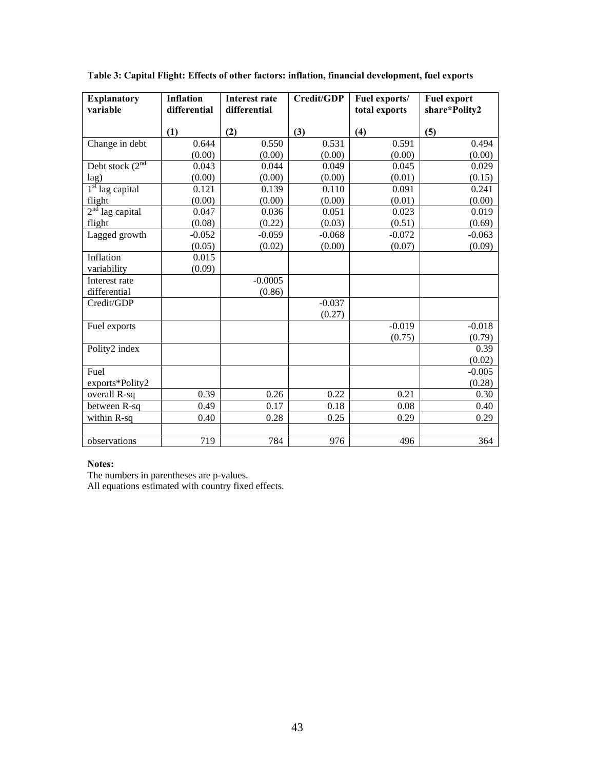| <b>Explanatory</b>   | <b>Inflation</b> | <b>Interest rate</b> | Credit/GDP | Fuel exports/ | <b>Fuel export</b> |
|----------------------|------------------|----------------------|------------|---------------|--------------------|
| variable             | differential     | differential         |            | total exports | share*Polity2      |
|                      |                  |                      |            |               |                    |
|                      | (1)              | (2)                  | (3)        | (4)           | (5)                |
| Change in debt       | 0.644            | 0.550                | 0.531      | 0.591         | 0.494              |
|                      | (0.00)           | (0.00)               | (0.00)     | (0.00)        | (0.00)             |
| Debt stock $(2^{nd}$ | 0.043            | 0.044                | 0.049      | 0.045         | 0.029              |
| lag)                 | (0.00)           | (0.00)               | (0.00)     | (0.01)        | (0.15)             |
| $1st$ lag capital    | 0.121            | 0.139                | 0.110      | 0.091         | 0.241              |
| flight               | (0.00)           | (0.00)               | (0.00)     | (0.01)        | (0.00)             |
| $2nd$ lag capital    | 0.047            | 0.036                | 0.051      | 0.023         | 0.019              |
| flight               | (0.08)           | (0.22)               | (0.03)     | (0.51)        | (0.69)             |
| Lagged growth        | $-0.052$         | $-0.059$             | $-0.068$   | $-0.072$      | $-0.063$           |
|                      | (0.05)           | (0.02)               | (0.00)     | (0.07)        | (0.09)             |
| Inflation            | 0.015            |                      |            |               |                    |
| variability          | (0.09)           |                      |            |               |                    |
| Interest rate        |                  | $-0.0005$            |            |               |                    |
| differential         |                  | (0.86)               |            |               |                    |
| Credit/GDP           |                  |                      | $-0.037$   |               |                    |
|                      |                  |                      | (0.27)     |               |                    |
| Fuel exports         |                  |                      |            | $-0.019$      | $-0.018$           |
|                      |                  |                      |            | (0.75)        | (0.79)             |
| Polity2 index        |                  |                      |            |               | 0.39               |
|                      |                  |                      |            |               | (0.02)             |
| Fuel                 |                  |                      |            |               | $-0.005$           |
| exports*Polity2      |                  |                      |            |               | (0.28)             |
| overall R-sq         | 0.39             | 0.26                 | 0.22       | 0.21          | 0.30               |
| between R-sq         | 0.49             | 0.17                 | 0.18       | 0.08          | 0.40               |
| within R-sq          | 0.40             | 0.28                 | 0.25       | 0.29          | 0.29               |
|                      |                  |                      |            |               |                    |
| observations         | 719              | 784                  | 976        | 496           | 364                |

**Table 3: Capital Flight: Effects of other factors: inflation, financial development, fuel exports** 

#### **Notes:**

The numbers in parentheses are p-values.

All equations estimated with country fixed effects.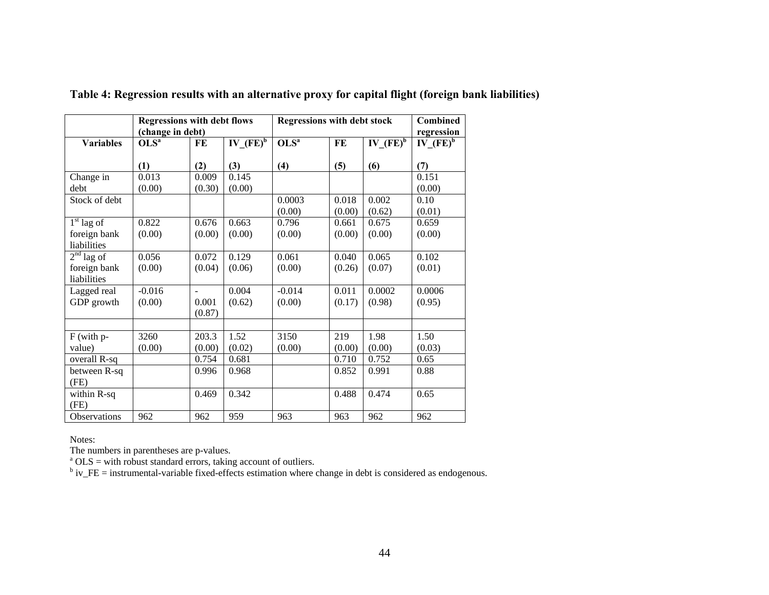|                  | <b>Regressions with debt flows</b> |        |             | <b>Regressions with debt stock</b> |        |                          | Combined       |
|------------------|------------------------------------|--------|-------------|------------------------------------|--------|--------------------------|----------------|
|                  | (change in debt)                   |        |             |                                    |        |                          | regression     |
| <b>Variables</b> | OLS <sup>a</sup>                   | FE     | IV $(FE)^b$ | OLS <sup>a</sup>                   | FE     | $IV$ <sub>(FE)</sub> $b$ | $IV_{F}E)^{b}$ |
|                  |                                    |        |             |                                    |        |                          |                |
|                  | (1)                                | (2)    | (3)         | (4)                                | (5)    | (6)                      | (7)            |
| Change in        | 0.013                              | 0.009  | 0.145       |                                    |        |                          | 0.151          |
| debt             | (0.00)                             | (0.30) | (0.00)      |                                    |        |                          | (0.00)         |
| Stock of debt    |                                    |        |             | 0.0003                             | 0.018  | 0.002                    | 0.10           |
|                  |                                    |        |             | (0.00)                             | (0.00) | (0.62)                   | (0.01)         |
| $1st$ lag of     | 0.822                              | 0.676  | 0.663       | 0.796                              | 0.661  | 0.675                    | 0.659          |
| foreign bank     | (0.00)                             | (0.00) | (0.00)      | (0.00)                             | (0.00) | (0.00)                   | (0.00)         |
| liabilities      |                                    |        |             |                                    |        |                          |                |
| $2nd$ lag of     | 0.056                              | 0.072  | 0.129       | 0.061                              | 0.040  | 0.065                    | 0.102          |
| foreign bank     | (0.00)                             | (0.04) | (0.06)      | (0.00)                             | (0.26) | (0.07)                   | (0.01)         |
| liabilities      |                                    |        |             |                                    |        |                          |                |
| Lagged real      | $-0.016$                           | $\sim$ | 0.004       | $-0.014$                           | 0.011  | 0.0002                   | 0.0006         |
| GDP growth       | (0.00)                             | 0.001  | (0.62)      | (0.00)                             | (0.17) | (0.98)                   | (0.95)         |
|                  |                                    | (0.87) |             |                                    |        |                          |                |
|                  |                                    |        |             |                                    |        |                          |                |
| $F$ (with $p-$   | 3260                               | 203.3  | 1.52        | 3150                               | 219    | 1.98                     | 1.50           |
| value)           | (0.00)                             | (0.00) | (0.02)      | (0.00)                             | (0.00) | (0.00)                   | (0.03)         |
| overall R-sq     |                                    | 0.754  | 0.681       |                                    | 0.710  | 0.752                    | 0.65           |
| between R-sq     |                                    | 0.996  | 0.968       |                                    | 0.852  | 0.991                    | 0.88           |
| (FE)             |                                    |        |             |                                    |        |                          |                |
| within R-sq      |                                    | 0.469  | 0.342       |                                    | 0.488  | 0.474                    | 0.65           |
| (FE)             |                                    |        |             |                                    |        |                          |                |
| Observations     | 962                                | 962    | 959         | 963                                | 963    | 962                      | 962            |

**Table 4: Regression results with an alternative proxy for capital flight (foreign bank liabilities)** 

Notes:

The numbers in parentheses are p-values.

 $a^a$  OLS = with robust standard errors, taking account of outliers.

 $b$  iv\_FE = instrumental-variable fixed-effects estimation where change in debt is considered as endogenous.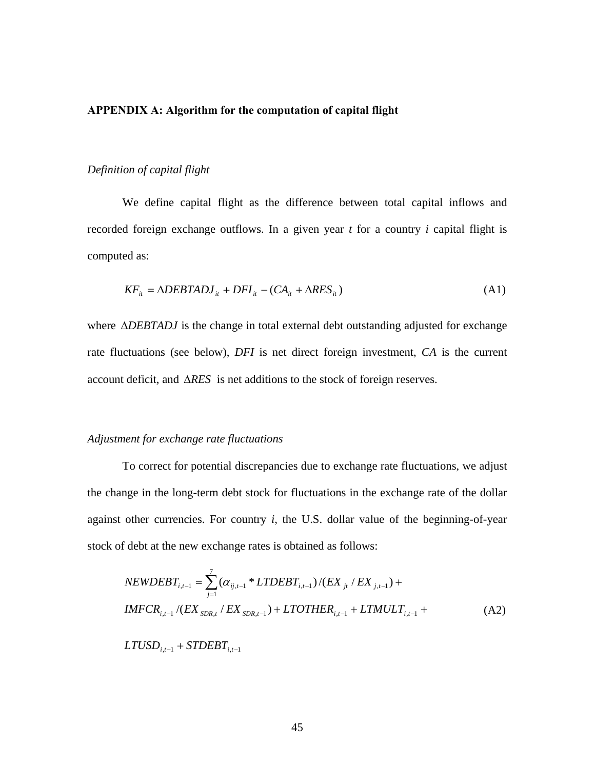#### **APPENDIX A: Algorithm for the computation of capital flight**

#### *Definition of capital flight*

We define capital flight as the difference between total capital inflows and recorded foreign exchange outflows. In a given year *t* for a country *i* capital flight is computed as:

$$
KF_{it} = \Delta DEBTADJ_{it} + DFI_{it} - (CA_{it} + \Delta RES_{it})
$$
\n(A1)

where Δ*DEBTADJ* is the change in total external debt outstanding adjusted for exchange rate fluctuations (see below), *DFI* is net direct foreign investment, *CA* is the current account deficit, and Δ*RES* is net additions to the stock of foreign reserves.

#### *Adjustment for exchange rate fluctuations*

To correct for potential discrepancies due to exchange rate fluctuations, we adjust the change in the long-term debt stock for fluctuations in the exchange rate of the dollar against other currencies. For country *i*, the U.S. dollar value of the beginning-of-year stock of debt at the new exchange rates is obtained as follows:

$$
NEWDEBT_{i,t-1} = \sum_{j=1}^{7} (\alpha_{ij,t-1} * LTDEBT_{i,t-1}) / (EX_{jt} / EX_{j,t-1}) +
$$
  
\n
$$
IMFCR_{i,t-1} / (EX_{SDR,t} / EX_{SDR,t-1}) + LTOTHER_{i,t-1} + LTMULT_{i,t-1} +
$$
 (A2)

$$
LTUSD_{i,t-1} + STDEBT_{i,t-1}
$$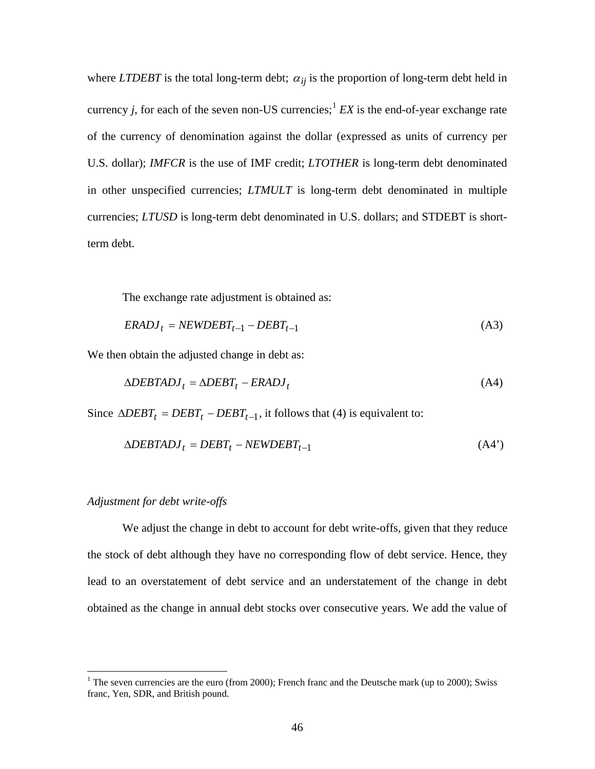<span id="page-47-0"></span>where *LTDEBT* is the total long-term debt;  $\alpha_{ij}$  is the proportion of long-term debt held in currency *j*, for each of the seven non-US currencies;<sup>[1](#page-47-0)</sup> *EX* is the end-of-year exchange rate of the currency of denomination against the dollar (expressed as units of currency per U.S. dollar); *IMFCR* is the use of IMF credit; *LTOTHER* is long-term debt denominated in other unspecified currencies; *LTMULT* is long-term debt denominated in multiple currencies; *LTUSD* is long-term debt denominated in U.S. dollars; and STDEBT is shortterm debt.

The exchange rate adjustment is obtained as:

$$
ERADJ_t = NEWDEBT_{t-1} - DEBT_{t-1}
$$
\n(A3)

We then obtain the adjusted change in debt as:

$$
\Delta DEBTADI_t = \Delta DEBT_t - ERADI_t \tag{A4}
$$

Since  $\triangle DEBT_t = DEBT_t - DEBT_{t-1}$ , it follows that (4) is equivalent to:

$$
\Delta DEBTADI_t = DEBT_t - NEWDEBT_{t-1} \tag{A4'}
$$

#### *Adjustment for debt write-offs*

We adjust the change in debt to account for debt write-offs, given that they reduce the stock of debt although they have no corresponding flow of debt service. Hence, they lead to an overstatement of debt service and an understatement of the change in debt obtained as the change in annual debt stocks over consecutive years. We add the value of

<sup>&</sup>lt;sup>1</sup> The seven currencies are the euro (from 2000); French franc and the Deutsche mark (up to 2000); Swiss franc, Yen, SDR, and British pound.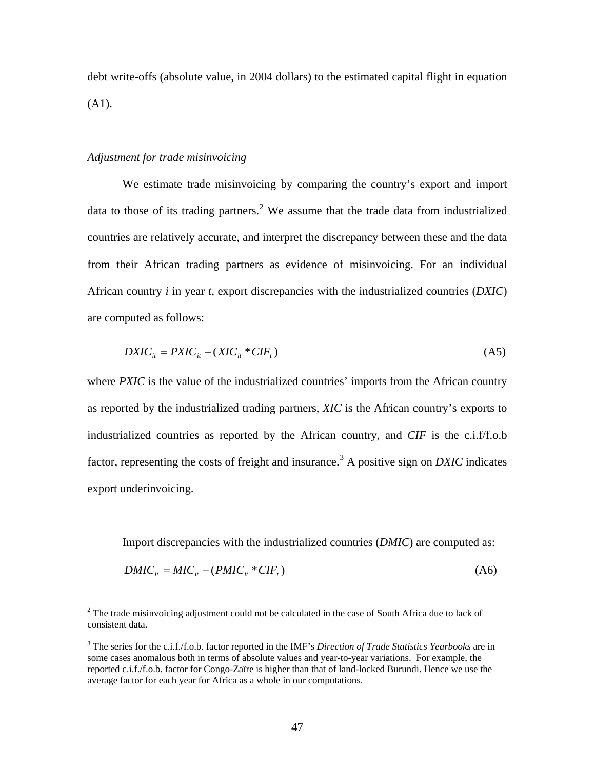<span id="page-48-0"></span>debt write-offs (absolute value, in 2004 dollars) to the estimated capital flight in equation (A1).

#### *Adjustment for trade misinvoicing*

1

We estimate trade misinvoicing by comparing the country's export and import data to those of its trading partners.<sup>[2](#page-48-0)</sup> We assume that the trade data from industrialized countries are relatively accurate, and interpret the discrepancy between these and the data from their African trading partners as evidence of misinvoicing. For an individual African country *i* in year *t,* export discrepancies with the industrialized countries (*DXIC*) are computed as follows:

$$
DXIC_{it} = PXIC_{it} - (XIC_{it} *CIF_{t})
$$
\n(A5)

where *PXIC* is the value of the industrialized countries' imports from the African country as reported by the industrialized trading partners, *XIC* is the African country's exports to industrialized countries as reported by the African country, and *CIF* is the c.i.f/f.o.b factor, representing the costs of freight and insurance.<sup>[3](#page-48-0)</sup> A positive sign on *DXIC* indicates export underinvoicing.

Import discrepancies with the industrialized countries (*DMIC*) are computed as:

$$
DMIC_{it} = MIC_{it} - (PMIC_{it} * CIF_t)
$$
\n(A6)

 $2^2$  The trade misinvoicing adjustment could not be calculated in the case of South Africa due to lack of consistent data.

<sup>3</sup> The series for the c.i.f./f.o.b. factor reported in the IMF's *Direction of Trade Statistics Yearbooks* are in some cases anomalous both in terms of absolute values and year-to-year variations. For example, the reported c.i.f./f.o.b. factor for Congo-Zaïre is higher than that of land-locked Burundi. Hence we use the average factor for each year for Africa as a whole in our computations.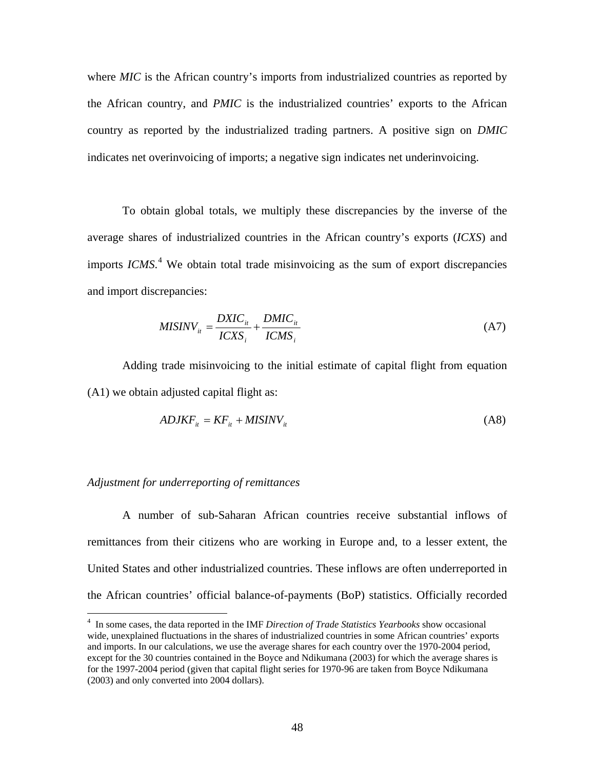<span id="page-49-0"></span>where *MIC* is the African country's imports from industrialized countries as reported by the African country, and *PMIC* is the industrialized countries' exports to the African country as reported by the industrialized trading partners. A positive sign on *DMIC* indicates net overinvoicing of imports; a negative sign indicates net underinvoicing.

 To obtain global totals, we multiply these discrepancies by the inverse of the average shares of industrialized countries in the African country's exports (*ICXS*) and imports *ICMS*.<sup>[4](#page-49-0)</sup> We obtain total trade misinvoicing as the sum of export discrepancies and import discrepancies:

$$
MISINV_{it} = \frac{DXIC_{it}}{ICXS_i} + \frac{DMIC_{it}}{ICMS_i}
$$
(A7)

Adding trade misinvoicing to the initial estimate of capital flight from equation (A1) we obtain adjusted capital flight as:

$$
ADJKF_{it} = KF_{it} + MISINV_{it} \tag{A8}
$$

#### *Adjustment for underreporting of remittances*

 $\overline{a}$ 

A number of sub-Saharan African countries receive substantial inflows of remittances from their citizens who are working in Europe and, to a lesser extent, the United States and other industrialized countries. These inflows are often underreported in the African countries' official balance-of-payments (BoP) statistics. Officially recorded

<sup>4</sup> In some cases, the data reported in the IMF *Direction of Trade Statistics Yearbooks* show occasional wide, unexplained fluctuations in the shares of industrialized countries in some African countries' exports and imports. In our calculations, we use the average shares for each country over the 1970-2004 period, except for the 30 countries contained in the Boyce and Ndikumana (2003) for which the average shares is for the 1997-2004 period (given that capital flight series for 1970-96 are taken from Boyce Ndikumana (2003) and only converted into 2004 dollars).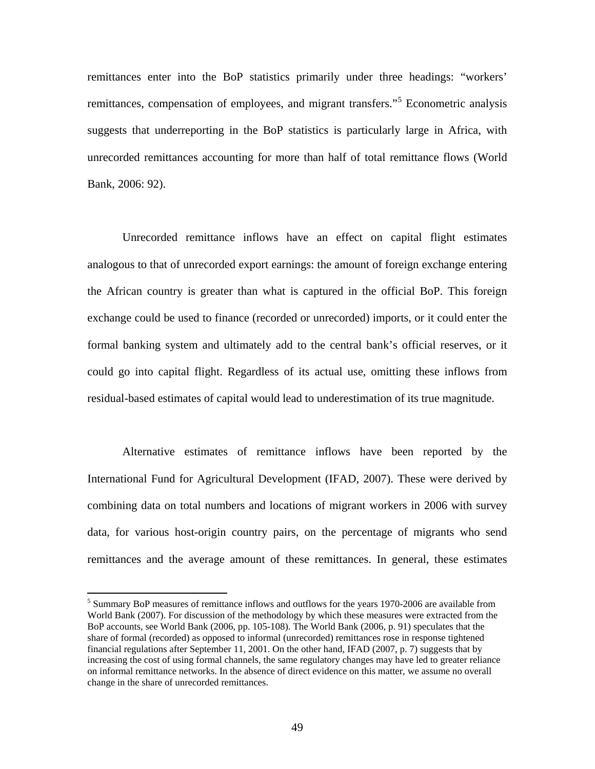<span id="page-50-0"></span>remittances enter into the BoP statistics primarily under three headings: "workers' remittances, compensation of employees, and migrant transfers."<sup>[5](#page-50-0)</sup> Econometric analysis suggests that underreporting in the BoP statistics is particularly large in Africa, with unrecorded remittances accounting for more than half of total remittance flows (World Bank, 2006: 92).

Unrecorded remittance inflows have an effect on capital flight estimates analogous to that of unrecorded export earnings: the amount of foreign exchange entering the African country is greater than what is captured in the official BoP. This foreign exchange could be used to finance (recorded or unrecorded) imports, or it could enter the formal banking system and ultimately add to the central bank's official reserves, or it could go into capital flight. Regardless of its actual use, omitting these inflows from residual-based estimates of capital would lead to underestimation of its true magnitude.

Alternative estimates of remittance inflows have been reported by the International Fund for Agricultural Development (IFAD, 2007). These were derived by combining data on total numbers and locations of migrant workers in 2006 with survey data, for various host-origin country pairs, on the percentage of migrants who send remittances and the average amount of these remittances. In general, these estimates

1

<sup>&</sup>lt;sup>5</sup> Summary BoP measures of remittance inflows and outflows for the years 1970-2006 are available from World Bank (2007). For discussion of the methodology by which these measures were extracted from the BoP accounts, see World Bank (2006, pp. 105-108). The World Bank (2006, p. 91) speculates that the share of formal (recorded) as opposed to informal (unrecorded) remittances rose in response tightened financial regulations after September 11, 2001. On the other hand, IFAD (2007, p. 7) suggests that by increasing the cost of using formal channels, the same regulatory changes may have led to greater reliance on informal remittance networks. In the absence of direct evidence on this matter, we assume no overall change in the share of unrecorded remittances.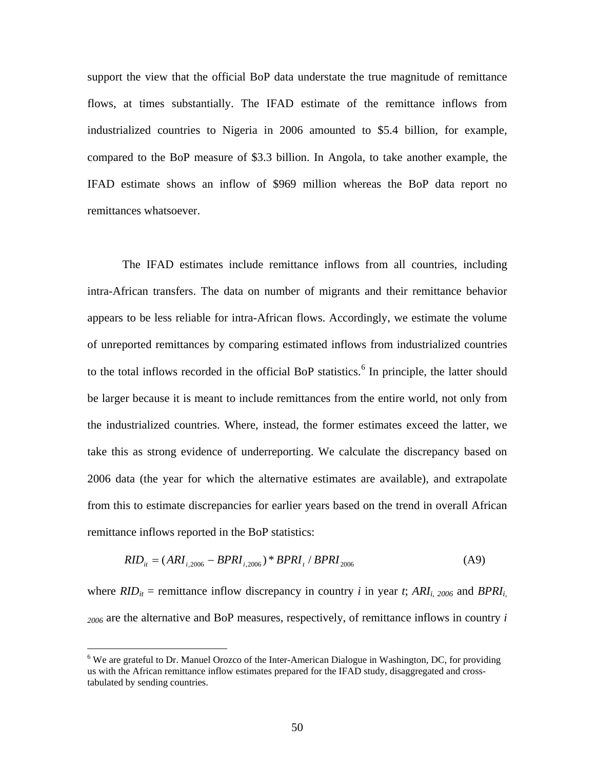<span id="page-51-0"></span>support the view that the official BoP data understate the true magnitude of remittance flows, at times substantially. The IFAD estimate of the remittance inflows from industrialized countries to Nigeria in 2006 amounted to \$5.4 billion, for example, compared to the BoP measure of \$3.3 billion. In Angola, to take another example, the IFAD estimate shows an inflow of \$969 million whereas the BoP data report no remittances whatsoever.

The IFAD estimates include remittance inflows from all countries, including intra-African transfers. The data on number of migrants and their remittance behavior appears to be less reliable for intra-African flows. Accordingly, we estimate the volume of unreported remittances by comparing estimated inflows from industrialized countries to the total inflows recorded in the official BoP statistics.<sup>[6](#page-51-0)</sup> In principle, the latter should be larger because it is meant to include remittances from the entire world, not only from the industrialized countries. Where, instead, the former estimates exceed the latter, we take this as strong evidence of underreporting. We calculate the discrepancy based on 2006 data (the year for which the alternative estimates are available), and extrapolate from this to estimate discrepancies for earlier years based on the trend in overall African remittance inflows reported in the BoP statistics:

$$
RID_{it} = (ARI_{i,2006} - BPRI_{i,2006}) * BPRI_t / BPRI_{2006}
$$
 (A9)

where  $RID_{it}$  = remittance inflow discrepancy in country *i* in year *t*;  $ARI_{i}$ ,  $2006$  and  $BPRI_{i}$ , *<sup>2006</sup>* are the alternative and BoP measures, respectively, of remittance inflows in country *i*

<u>.</u>

<sup>&</sup>lt;sup>6</sup> We are grateful to Dr. Manuel Orozco of the Inter-American Dialogue in Washington, DC, for providing us with the African remittance inflow estimates prepared for the IFAD study, disaggregated and crosstabulated by sending countries.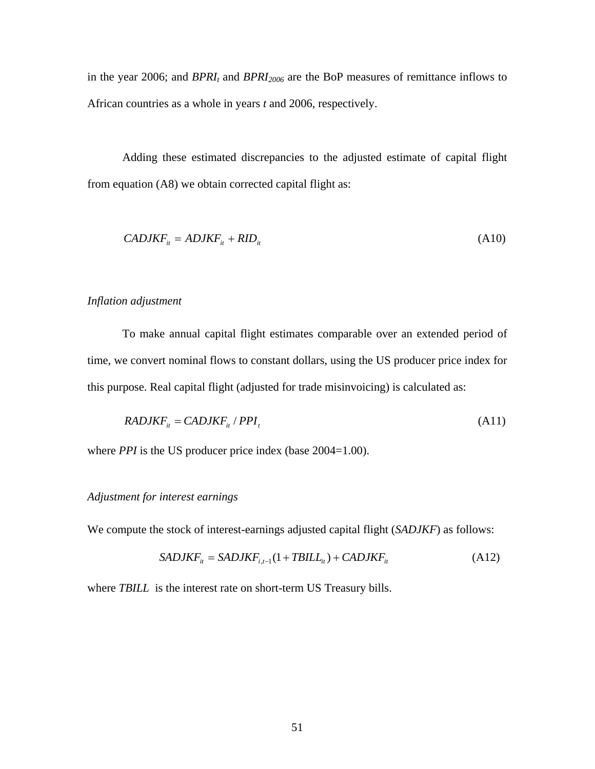in the year 2006; and  $BPRI_t$  and  $BPRI_{2006}$  are the BoP measures of remittance inflows to African countries as a whole in years *t* and 2006, respectively.

Adding these estimated discrepancies to the adjusted estimate of capital flight from equation (A8) we obtain corrected capital flight as:

$$
CADJKF_{it} = ADJKF_{it} + RID_{it} \tag{A10}
$$

#### *Inflation adjustment*

To make annual capital flight estimates comparable over an extended period of time, we convert nominal flows to constant dollars, using the US producer price index for this purpose. Real capital flight (adjusted for trade misinvoicing) is calculated as:

$$
RADJKF_{it} = CADJKF_{it}/PPI_t
$$
\n(A11)

where *PPI* is the US producer price index (base 2004=1.00).

#### *Adjustment for interest earnings*

We compute the stock of interest-earnings adjusted capital flight (*SADJKF*) as follows:

$$
SADJKF_{ii} = SADJKF_{i,t-1}(1+TBILL_{ii}) + CADJKF_{ii}
$$
\n(A12)

where *TBILL* is the interest rate on short-term US Treasury bills.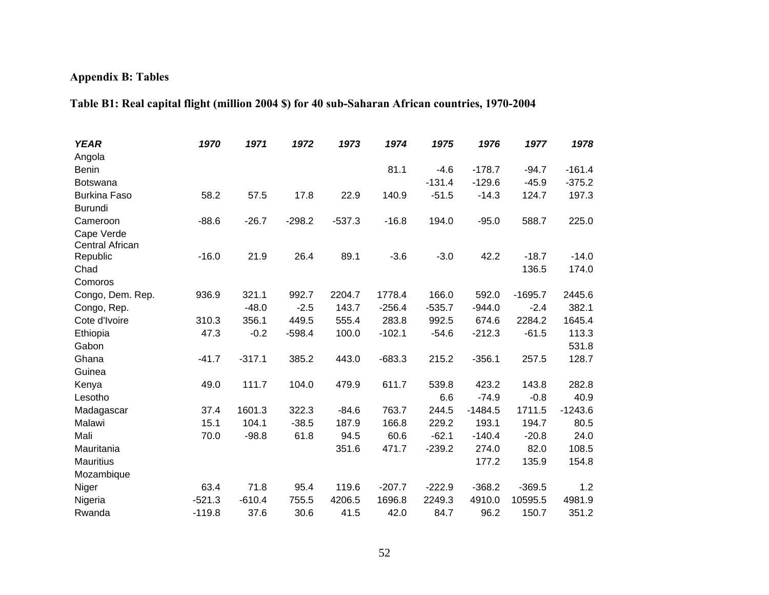## **Appendix B: Tables**

# **Table B1: Real capital flight (million 2004 \$) for 40 sub-Saharan African countries, 1970-2004**

| <b>YEAR</b>         | 1970     | 1971     | 1972     | 1973     | 1974     | 1975     | 1976      | 1977      | 1978      |
|---------------------|----------|----------|----------|----------|----------|----------|-----------|-----------|-----------|
| Angola              |          |          |          |          |          |          |           |           |           |
| <b>Benin</b>        |          |          |          |          | 81.1     | $-4.6$   | $-178.7$  | $-94.7$   | $-161.4$  |
| <b>Botswana</b>     |          |          |          |          |          | $-131.4$ | $-129.6$  | $-45.9$   | $-375.2$  |
| <b>Burkina Faso</b> | 58.2     | 57.5     | 17.8     | 22.9     | 140.9    | $-51.5$  | $-14.3$   | 124.7     | 197.3     |
| <b>Burundi</b>      |          |          |          |          |          |          |           |           |           |
| Cameroon            | $-88.6$  | $-26.7$  | $-298.2$ | $-537.3$ | $-16.8$  | 194.0    | $-95.0$   | 588.7     | 225.0     |
| Cape Verde          |          |          |          |          |          |          |           |           |           |
| Central African     |          |          |          |          |          |          |           |           |           |
| Republic            | $-16.0$  | 21.9     | 26.4     | 89.1     | $-3.6$   | $-3.0$   | 42.2      | $-18.7$   | $-14.0$   |
| Chad                |          |          |          |          |          |          |           | 136.5     | 174.0     |
| Comoros             |          |          |          |          |          |          |           |           |           |
| Congo, Dem. Rep.    | 936.9    | 321.1    | 992.7    | 2204.7   | 1778.4   | 166.0    | 592.0     | $-1695.7$ | 2445.6    |
| Congo, Rep.         |          | $-48.0$  | $-2.5$   | 143.7    | $-256.4$ | $-535.7$ | $-944.0$  | $-2.4$    | 382.1     |
| Cote d'Ivoire       | 310.3    | 356.1    | 449.5    | 555.4    | 283.8    | 992.5    | 674.6     | 2284.2    | 1645.4    |
| Ethiopia            | 47.3     | $-0.2$   | $-598.4$ | 100.0    | $-102.1$ | $-54.6$  | $-212.3$  | $-61.5$   | 113.3     |
| Gabon               |          |          |          |          |          |          |           |           | 531.8     |
| Ghana               | $-41.7$  | $-317.1$ | 385.2    | 443.0    | $-683.3$ | 215.2    | $-356.1$  | 257.5     | 128.7     |
| Guinea              |          |          |          |          |          |          |           |           |           |
| Kenya               | 49.0     | 111.7    | 104.0    | 479.9    | 611.7    | 539.8    | 423.2     | 143.8     | 282.8     |
| Lesotho             |          |          |          |          |          | 6.6      | $-74.9$   | $-0.8$    | 40.9      |
| Madagascar          | 37.4     | 1601.3   | 322.3    | $-84.6$  | 763.7    | 244.5    | $-1484.5$ | 1711.5    | $-1243.6$ |
| Malawi              | 15.1     | 104.1    | $-38.5$  | 187.9    | 166.8    | 229.2    | 193.1     | 194.7     | 80.5      |
| Mali                | 70.0     | $-98.8$  | 61.8     | 94.5     | 60.6     | $-62.1$  | $-140.4$  | $-20.8$   | 24.0      |
| Mauritania          |          |          |          | 351.6    | 471.7    | $-239.2$ | 274.0     | 82.0      | 108.5     |
| <b>Mauritius</b>    |          |          |          |          |          |          | 177.2     | 135.9     | 154.8     |
| Mozambique          |          |          |          |          |          |          |           |           |           |
| Niger               | 63.4     | 71.8     | 95.4     | 119.6    | $-207.7$ | $-222.9$ | $-368.2$  | $-369.5$  | 1.2       |
| Nigeria             | $-521.3$ | $-610.4$ | 755.5    | 4206.5   | 1696.8   | 2249.3   | 4910.0    | 10595.5   | 4981.9    |
| Rwanda              | $-119.8$ | 37.6     | 30.6     | 41.5     | 42.0     | 84.7     | 96.2      | 150.7     | 351.2     |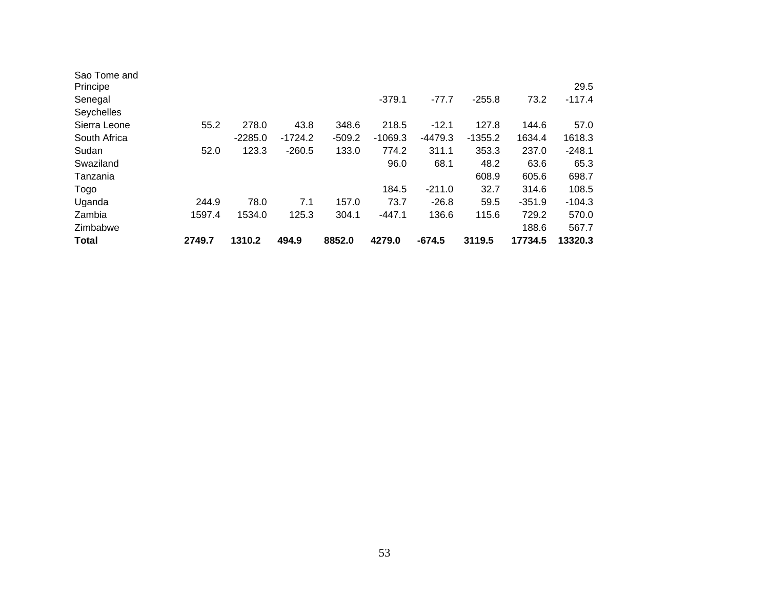| <b>Total</b>             | 2749.7 | 1310.2    | 494.9     | 8852.0   | 4279.0    | $-674.5$  | 3119.5    | 17734.5  | 13320.3  |
|--------------------------|--------|-----------|-----------|----------|-----------|-----------|-----------|----------|----------|
| Zimbabwe                 |        |           |           |          |           |           |           | 188.6    | 567.7    |
| Zambia                   | 1597.4 | 1534.0    | 125.3     | 304.1    | $-447.1$  | 136.6     | 115.6     | 729.2    | 570.0    |
| Uganda                   | 244.9  | 78.0      | 7.1       | 157.0    | 73.7      | $-26.8$   | 59.5      | $-351.9$ | $-104.3$ |
| Togo                     |        |           |           |          | 184.5     | $-211.0$  | 32.7      | 314.6    | 108.5    |
| Tanzania                 |        |           |           |          |           |           | 608.9     | 605.6    | 698.7    |
| Swaziland                |        |           |           |          | 96.0      | 68.1      | 48.2      | 63.6     | 65.3     |
| Sudan                    | 52.0   | 123.3     | $-260.5$  | 133.0    | 774.2     | 311.1     | 353.3     | 237.0    | $-248.1$ |
| South Africa             |        | $-2285.0$ | $-1724.2$ | $-509.2$ | $-1069.3$ | $-4479.3$ | $-1355.2$ | 1634.4   | 1618.3   |
| Sierra Leone             | 55.2   | 278.0     | 43.8      | 348.6    | 218.5     | $-12.1$   | 127.8     | 144.6    | 57.0     |
| Seychelles               |        |           |           |          |           |           |           |          |          |
| Senegal                  |        |           |           |          | $-379.1$  | $-77.7$   | $-255.8$  | 73.2     | $-117.4$ |
| Sao Tome and<br>Principe |        |           |           |          |           |           |           |          | 29.5     |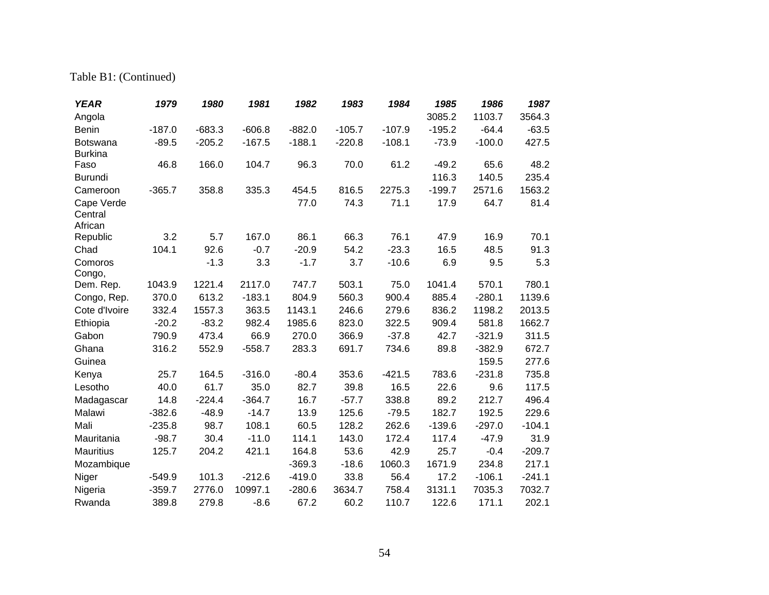## Table B1: (Continued)

| <b>YEAR</b>                      | 1979     | 1980     | 1981     | 1982     | 1983     | 1984     | 1985     | 1986     | 1987     |
|----------------------------------|----------|----------|----------|----------|----------|----------|----------|----------|----------|
| Angola                           |          |          |          |          |          |          | 3085.2   | 1103.7   | 3564.3   |
| <b>Benin</b>                     | $-187.0$ | $-683.3$ | $-606.8$ | $-882.0$ | $-105.7$ | $-107.9$ | $-195.2$ | $-64.4$  | $-63.5$  |
| Botswana<br><b>Burkina</b>       | $-89.5$  | $-205.2$ | $-167.5$ | $-188.1$ | $-220.8$ | $-108.1$ | $-73.9$  | $-100.0$ | 427.5    |
| Faso                             | 46.8     | 166.0    | 104.7    | 96.3     | 70.0     | 61.2     | $-49.2$  | 65.6     | 48.2     |
| <b>Burundi</b>                   |          |          |          |          |          |          | 116.3    | 140.5    | 235.4    |
| Cameroon                         | $-365.7$ | 358.8    | 335.3    | 454.5    | 816.5    | 2275.3   | $-199.7$ | 2571.6   | 1563.2   |
| Cape Verde<br>Central<br>African |          |          |          | 77.0     | 74.3     | 71.1     | 17.9     | 64.7     | 81.4     |
| Republic                         | 3.2      | 5.7      | 167.0    | 86.1     | 66.3     | 76.1     | 47.9     | 16.9     | 70.1     |
| Chad                             | 104.1    | 92.6     | $-0.7$   | $-20.9$  | 54.2     | $-23.3$  | 16.5     | 48.5     | 91.3     |
| Comoros<br>Congo,                |          | $-1.3$   | 3.3      | $-1.7$   | 3.7      | $-10.6$  | 6.9      | 9.5      | 5.3      |
| Dem. Rep.                        | 1043.9   | 1221.4   | 2117.0   | 747.7    | 503.1    | 75.0     | 1041.4   | 570.1    | 780.1    |
| Congo, Rep.                      | 370.0    | 613.2    | $-183.1$ | 804.9    | 560.3    | 900.4    | 885.4    | $-280.1$ | 1139.6   |
| Cote d'Ivoire                    | 332.4    | 1557.3   | 363.5    | 1143.1   | 246.6    | 279.6    | 836.2    | 1198.2   | 2013.5   |
| Ethiopia                         | $-20.2$  | $-83.2$  | 982.4    | 1985.6   | 823.0    | 322.5    | 909.4    | 581.8    | 1662.7   |
| Gabon                            | 790.9    | 473.4    | 66.9     | 270.0    | 366.9    | $-37.8$  | 42.7     | $-321.9$ | 311.5    |
| Ghana                            | 316.2    | 552.9    | $-558.7$ | 283.3    | 691.7    | 734.6    | 89.8     | $-382.9$ | 672.7    |
| Guinea                           |          |          |          |          |          |          |          | 159.5    | 277.6    |
| Kenya                            | 25.7     | 164.5    | $-316.0$ | $-80.4$  | 353.6    | $-421.5$ | 783.6    | $-231.8$ | 735.8    |
| Lesotho                          | 40.0     | 61.7     | 35.0     | 82.7     | 39.8     | 16.5     | 22.6     | 9.6      | 117.5    |
| Madagascar                       | 14.8     | $-224.4$ | $-364.7$ | 16.7     | $-57.7$  | 338.8    | 89.2     | 212.7    | 496.4    |
| Malawi                           | $-382.6$ | $-48.9$  | $-14.7$  | 13.9     | 125.6    | $-79.5$  | 182.7    | 192.5    | 229.6    |
| Mali                             | $-235.8$ | 98.7     | 108.1    | 60.5     | 128.2    | 262.6    | $-139.6$ | $-297.0$ | $-104.1$ |
| Mauritania                       | $-98.7$  | 30.4     | $-11.0$  | 114.1    | 143.0    | 172.4    | 117.4    | $-47.9$  | 31.9     |
| <b>Mauritius</b>                 | 125.7    | 204.2    | 421.1    | 164.8    | 53.6     | 42.9     | 25.7     | $-0.4$   | $-209.7$ |
| Mozambique                       |          |          |          | $-369.3$ | $-18.6$  | 1060.3   | 1671.9   | 234.8    | 217.1    |
| Niger                            | $-549.9$ | 101.3    | $-212.6$ | $-419.0$ | 33.8     | 56.4     | 17.2     | $-106.1$ | $-241.1$ |
| Nigeria                          | $-359.7$ | 2776.0   | 10997.1  | $-280.6$ | 3634.7   | 758.4    | 3131.1   | 7035.3   | 7032.7   |
| Rwanda                           | 389.8    | 279.8    | $-8.6$   | 67.2     | 60.2     | 110.7    | 122.6    | 171.1    | 202.1    |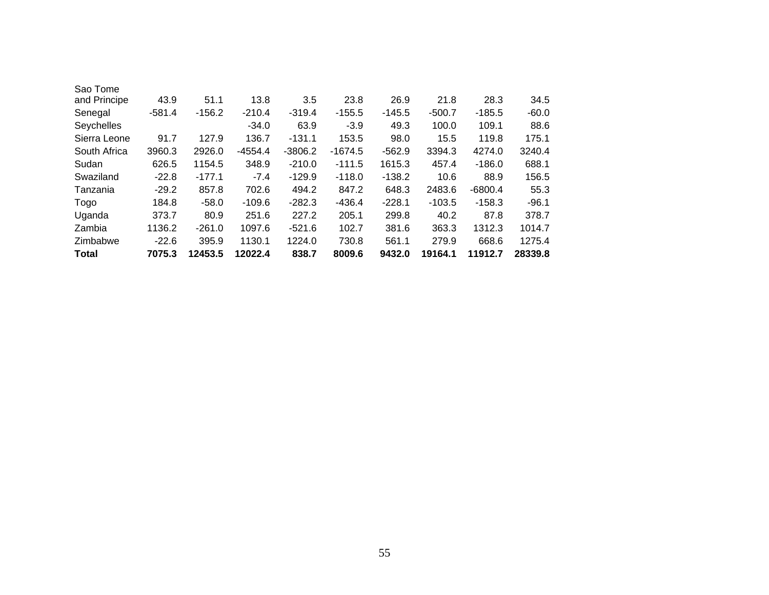| 7075.3   | 12453.5  | 12022.4   | 838.7     | 8009.6    | 9432.0   | 19164.1  | 11912.7   | 28339.8 |
|----------|----------|-----------|-----------|-----------|----------|----------|-----------|---------|
| $-22.6$  | 395.9    | 1130.1    | 1224.0    | 730.8     | 561.1    | 279.9    | 668.6     | 1275.4  |
| 1136.2   | $-261.0$ | 1097.6    | $-521.6$  | 102.7     | 381.6    | 363.3    | 1312.3    | 1014.7  |
| 373.7    | 80.9     | 251.6     | 227.2     | 205.1     | 299.8    | 40.2     | 87.8      | 378.7   |
| 184.8    | $-58.0$  | $-109.6$  | $-282.3$  | $-436.4$  | $-228.1$ | $-103.5$ | $-158.3$  | $-96.1$ |
| $-29.2$  | 857.8    | 702.6     | 494.2     | 847.2     | 648.3    | 2483.6   | $-6800.4$ | 55.3    |
| $-22.8$  | $-177.1$ | $-7.4$    | $-129.9$  | $-118.0$  | $-138.2$ | 10.6     | 88.9      | 156.5   |
| 626.5    | 1154.5   | 348.9     | $-210.0$  | $-111.5$  | 1615.3   | 457.4    | $-186.0$  | 688.1   |
| 3960.3   | 2926.0   | $-4554.4$ | $-3806.2$ | $-1674.5$ | $-562.9$ | 3394.3   | 4274.0    | 3240.4  |
| 91.7     | 127.9    | 136.7     | $-131.1$  | 153.5     | 98.0     | 15.5     | 119.8     | 175.1   |
|          |          | $-34.0$   | 63.9      | $-3.9$    | 49.3     | 100.0    | 109.1     | 88.6    |
| $-581.4$ | $-156.2$ | $-210.4$  | $-319.4$  | $-155.5$  | $-145.5$ | $-500.7$ | $-185.5$  | $-60.0$ |
| 43.9     | 51.1     | 13.8      | 3.5       | 23.8      | 26.9     | 21.8     | 28.3      | 34.5    |
|          |          |           |           |           |          |          |           |         |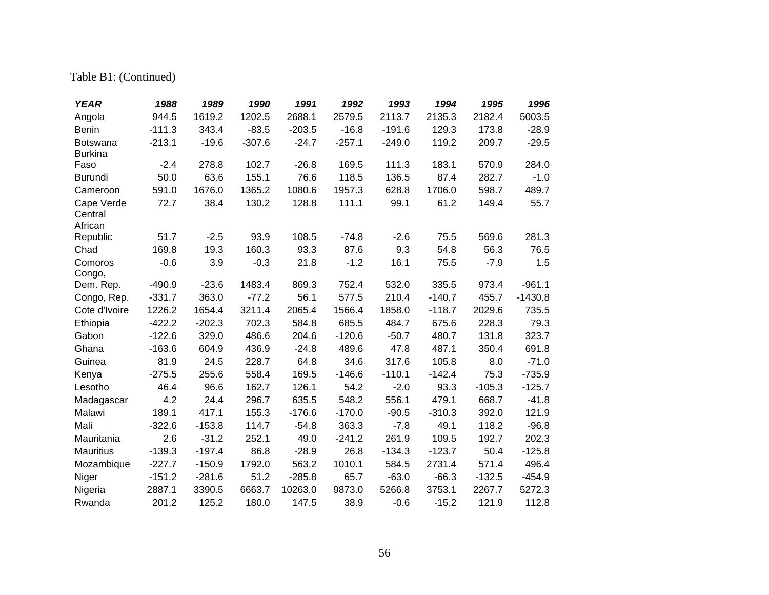## Table B1: (Continued)

| <b>YEAR</b>                      | 1988     | 1989     | 1990     | 1991     | 1992     | 1993     | 1994     | 1995     | 1996      |
|----------------------------------|----------|----------|----------|----------|----------|----------|----------|----------|-----------|
| Angola                           | 944.5    | 1619.2   | 1202.5   | 2688.1   | 2579.5   | 2113.7   | 2135.3   | 2182.4   | 5003.5    |
| <b>Benin</b>                     | $-111.3$ | 343.4    | $-83.5$  | $-203.5$ | $-16.8$  | $-191.6$ | 129.3    | 173.8    | $-28.9$   |
| <b>Botswana</b>                  | $-213.1$ | $-19.6$  | $-307.6$ | $-24.7$  | $-257.1$ | $-249.0$ | 119.2    | 209.7    | $-29.5$   |
| <b>Burkina</b>                   |          |          |          |          |          |          |          |          |           |
| Faso                             | $-2.4$   | 278.8    | 102.7    | $-26.8$  | 169.5    | 111.3    | 183.1    | 570.9    | 284.0     |
| <b>Burundi</b>                   | 50.0     | 63.6     | 155.1    | 76.6     | 118.5    | 136.5    | 87.4     | 282.7    | $-1.0$    |
| Cameroon                         | 591.0    | 1676.0   | 1365.2   | 1080.6   | 1957.3   | 628.8    | 1706.0   | 598.7    | 489.7     |
| Cape Verde<br>Central<br>African | 72.7     | 38.4     | 130.2    | 128.8    | 111.1    | 99.1     | 61.2     | 149.4    | 55.7      |
| Republic                         | 51.7     | $-2.5$   | 93.9     | 108.5    | $-74.8$  | $-2.6$   | 75.5     | 569.6    | 281.3     |
| Chad                             | 169.8    | 19.3     | 160.3    | 93.3     | 87.6     | 9.3      | 54.8     | 56.3     | 76.5      |
| Comoros<br>Congo,                | $-0.6$   | 3.9      | $-0.3$   | 21.8     | $-1.2$   | 16.1     | 75.5     | $-7.9$   | 1.5       |
| Dem. Rep.                        | $-490.9$ | $-23.6$  | 1483.4   | 869.3    | 752.4    | 532.0    | 335.5    | 973.4    | $-961.1$  |
| Congo, Rep.                      | $-331.7$ | 363.0    | $-77.2$  | 56.1     | 577.5    | 210.4    | $-140.7$ | 455.7    | $-1430.8$ |
| Cote d'Ivoire                    | 1226.2   | 1654.4   | 3211.4   | 2065.4   | 1566.4   | 1858.0   | $-118.7$ | 2029.6   | 735.5     |
| Ethiopia                         | $-422.2$ | $-202.3$ | 702.3    | 584.8    | 685.5    | 484.7    | 675.6    | 228.3    | 79.3      |
| Gabon                            | $-122.6$ | 329.0    | 486.6    | 204.6    | $-120.6$ | $-50.7$  | 480.7    | 131.8    | 323.7     |
| Ghana                            | $-163.6$ | 604.9    | 436.9    | $-24.8$  | 489.6    | 47.8     | 487.1    | 350.4    | 691.8     |
| Guinea                           | 81.9     | 24.5     | 228.7    | 64.8     | 34.6     | 317.6    | 105.8    | 8.0      | $-71.0$   |
| Kenya                            | $-275.5$ | 255.6    | 558.4    | 169.5    | $-146.6$ | $-110.1$ | $-142.4$ | 75.3     | $-735.9$  |
| Lesotho                          | 46.4     | 96.6     | 162.7    | 126.1    | 54.2     | $-2.0$   | 93.3     | $-105.3$ | $-125.7$  |
| Madagascar                       | 4.2      | 24.4     | 296.7    | 635.5    | 548.2    | 556.1    | 479.1    | 668.7    | $-41.8$   |
| Malawi                           | 189.1    | 417.1    | 155.3    | $-176.6$ | $-170.0$ | $-90.5$  | $-310.3$ | 392.0    | 121.9     |
| Mali                             | $-322.6$ | $-153.8$ | 114.7    | $-54.8$  | 363.3    | $-7.8$   | 49.1     | 118.2    | $-96.8$   |
| Mauritania                       | 2.6      | $-31.2$  | 252.1    | 49.0     | $-241.2$ | 261.9    | 109.5    | 192.7    | 202.3     |
| <b>Mauritius</b>                 | $-139.3$ | $-197.4$ | 86.8     | $-28.9$  | 26.8     | $-134.3$ | $-123.7$ | 50.4     | $-125.8$  |
| Mozambique                       | $-227.7$ | $-150.9$ | 1792.0   | 563.2    | 1010.1   | 584.5    | 2731.4   | 571.4    | 496.4     |
| Niger                            | $-151.2$ | $-281.6$ | 51.2     | $-285.8$ | 65.7     | $-63.0$  | $-66.3$  | $-132.5$ | $-454.9$  |
| Nigeria                          | 2887.1   | 3390.5   | 6663.7   | 10263.0  | 9873.0   | 5266.8   | 3753.1   | 2267.7   | 5272.3    |
| Rwanda                           | 201.2    | 125.2    | 180.0    | 147.5    | 38.9     | $-0.6$   | $-15.2$  | 121.9    | 112.8     |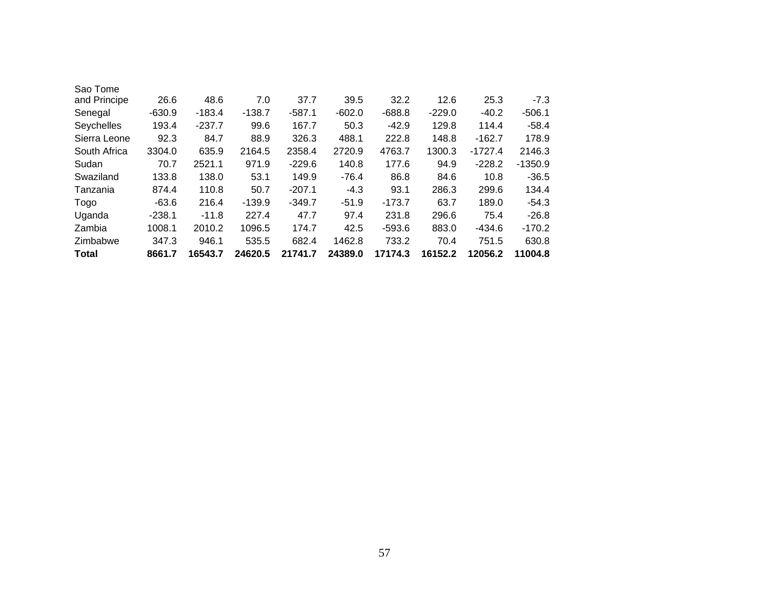| Total        | 8661.7   | 16543.7  | 24620.5  | 21741.7  | 24389.0  | 17174.3  | 16152.2  | 12056.2   | 11004.8   |
|--------------|----------|----------|----------|----------|----------|----------|----------|-----------|-----------|
| Zimbabwe     | 347.3    | 946.1    | 535.5    | 682.4    | 1462.8   | 733.2    | 70.4     | 751.5     | 630.8     |
| Zambia       | 1008.1   | 2010.2   | 1096.5   | 174.7    | 42.5     | $-593.6$ | 883.0    | $-434.6$  | $-170.2$  |
| Uganda       | $-238.1$ | $-11.8$  | 227.4    | 47.7     | 97.4     | 231.8    | 296.6    | 75.4      | $-26.8$   |
| Togo         | $-63.6$  | 216.4    | $-139.9$ | $-349.7$ | $-51.9$  | $-173.7$ | 63.7     | 189.0     | $-54.3$   |
| Tanzania     | 874.4    | 110.8    | 50.7     | $-207.1$ | $-4.3$   | 93.1     | 286.3    | 299.6     | 134.4     |
| Swaziland    | 133.8    | 138.0    | 53.1     | 149.9    | $-76.4$  | 86.8     | 84.6     | 10.8      | $-36.5$   |
| Sudan        | 70.7     | 2521.1   | 971.9    | $-229.6$ | 140.8    | 177.6    | 94.9     | $-228.2$  | $-1350.9$ |
| South Africa | 3304.0   | 635.9    | 2164.5   | 2358.4   | 2720.9   | 4763.7   | 1300.3   | $-1727.4$ | 2146.3    |
| Sierra Leone | 92.3     | 84.7     | 88.9     | 326.3    | 488.1    | 222.8    | 148.8    | $-162.7$  | 178.9     |
| Seychelles   | 193.4    | $-237.7$ | 99.6     | 167.7    | 50.3     | $-42.9$  | 129.8    | 114.4     | $-58.4$   |
| Senegal      | $-630.9$ | $-183.4$ | $-138.7$ | $-587.1$ | $-602.0$ | $-688.8$ | $-229.0$ | $-40.2$   | $-506.1$  |
| and Principe | 26.6     | 48.6     | 7.0      | 37.7     | 39.5     | 32.2     | 12.6     | 25.3      | $-7.3$    |
| Sao Tome     |          |          |          |          |          |          |          |           |           |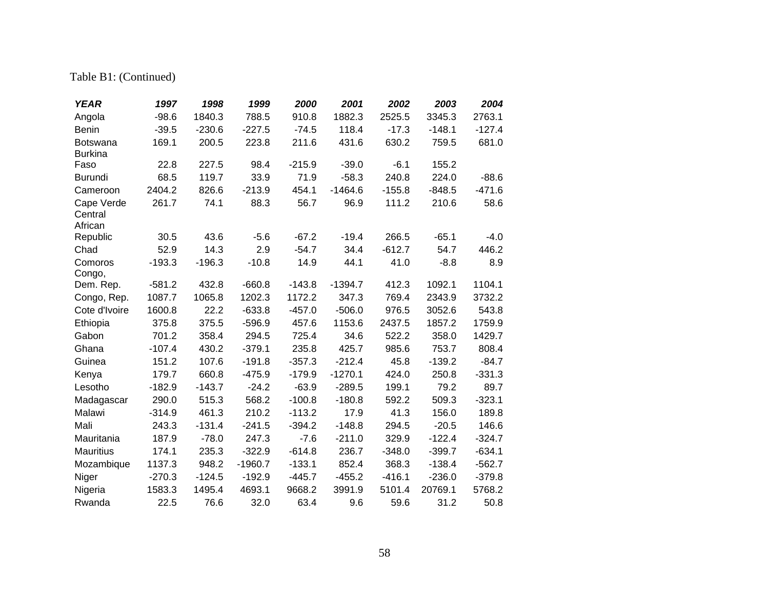## Table B1: (Continued)

| <b>YEAR</b>        | 1997     | 1998     | 1999      | 2000     | 2001      | 2002     | 2003     | 2004     |
|--------------------|----------|----------|-----------|----------|-----------|----------|----------|----------|
| Angola             | $-98.6$  | 1840.3   | 788.5     | 910.8    | 1882.3    | 2525.5   | 3345.3   | 2763.1   |
| <b>Benin</b>       | $-39.5$  | $-230.6$ | $-227.5$  | $-74.5$  | 118.4     | $-17.3$  | $-148.1$ | $-127.4$ |
| <b>Botswana</b>    | 169.1    | 200.5    | 223.8     | 211.6    | 431.6     | 630.2    | 759.5    | 681.0    |
| <b>Burkina</b>     |          |          |           |          |           |          |          |          |
| Faso               | 22.8     | 227.5    | 98.4      | $-215.9$ | $-39.0$   | $-6.1$   | 155.2    |          |
| <b>Burundi</b>     | 68.5     | 119.7    | 33.9      | 71.9     | $-58.3$   | 240.8    | 224.0    | $-88.6$  |
| Cameroon           | 2404.2   | 826.6    | $-213.9$  | 454.1    | $-1464.6$ | $-155.8$ | $-848.5$ | $-471.6$ |
| Cape Verde         | 261.7    | 74.1     | 88.3      | 56.7     | 96.9      | 111.2    | 210.6    | 58.6     |
| Central<br>African |          |          |           |          |           |          |          |          |
| Republic           | 30.5     | 43.6     | $-5.6$    | $-67.2$  | $-19.4$   | 266.5    | $-65.1$  | $-4.0$   |
| Chad               | 52.9     | 14.3     | 2.9       | $-54.7$  | 34.4      | $-612.7$ | 54.7     | 446.2    |
| Comoros            | $-193.3$ | $-196.3$ | $-10.8$   | 14.9     | 44.1      | 41.0     | $-8.8$   | 8.9      |
| Congo,             |          |          |           |          |           |          |          |          |
| Dem. Rep.          | $-581.2$ | 432.8    | $-660.8$  | $-143.8$ | $-1394.7$ | 412.3    | 1092.1   | 1104.1   |
| Congo, Rep.        | 1087.7   | 1065.8   | 1202.3    | 1172.2   | 347.3     | 769.4    | 2343.9   | 3732.2   |
| Cote d'Ivoire      | 1600.8   | 22.2     | $-633.8$  | $-457.0$ | $-506.0$  | 976.5    | 3052.6   | 543.8    |
| Ethiopia           | 375.8    | 375.5    | $-596.9$  | 457.6    | 1153.6    | 2437.5   | 1857.2   | 1759.9   |
| Gabon              | 701.2    | 358.4    | 294.5     | 725.4    | 34.6      | 522.2    | 358.0    | 1429.7   |
| Ghana              | $-107.4$ | 430.2    | $-379.1$  | 235.8    | 425.7     | 985.6    | 753.7    | 808.4    |
| Guinea             | 151.2    | 107.6    | $-191.8$  | $-357.3$ | $-212.4$  | 45.8     | $-139.2$ | $-84.7$  |
| Kenya              | 179.7    | 660.8    | $-475.9$  | $-179.9$ | $-1270.1$ | 424.0    | 250.8    | $-331.3$ |
| Lesotho            | $-182.9$ | $-143.7$ | $-24.2$   | $-63.9$  | $-289.5$  | 199.1    | 79.2     | 89.7     |
| Madagascar         | 290.0    | 515.3    | 568.2     | $-100.8$ | $-180.8$  | 592.2    | 509.3    | $-323.1$ |
| Malawi             | $-314.9$ | 461.3    | 210.2     | $-113.2$ | 17.9      | 41.3     | 156.0    | 189.8    |
| Mali               | 243.3    | $-131.4$ | $-241.5$  | $-394.2$ | $-148.8$  | 294.5    | $-20.5$  | 146.6    |
| Mauritania         | 187.9    | $-78.0$  | 247.3     | $-7.6$   | $-211.0$  | 329.9    | $-122.4$ | $-324.7$ |
| <b>Mauritius</b>   | 174.1    | 235.3    | $-322.9$  | $-614.8$ | 236.7     | $-348.0$ | $-399.7$ | $-634.1$ |
| Mozambique         | 1137.3   | 948.2    | $-1960.7$ | $-133.1$ | 852.4     | 368.3    | $-138.4$ | $-562.7$ |
| Niger              | $-270.3$ | $-124.5$ | $-192.9$  | $-445.7$ | $-455.2$  | $-416.1$ | $-236.0$ | $-379.8$ |
| Nigeria            | 1583.3   | 1495.4   | 4693.1    | 9668.2   | 3991.9    | 5101.4   | 20769.1  | 5768.2   |
| Rwanda             | 22.5     | 76.6     | 32.0      | 63.4     | 9.6       | 59.6     | 31.2     | 50.8     |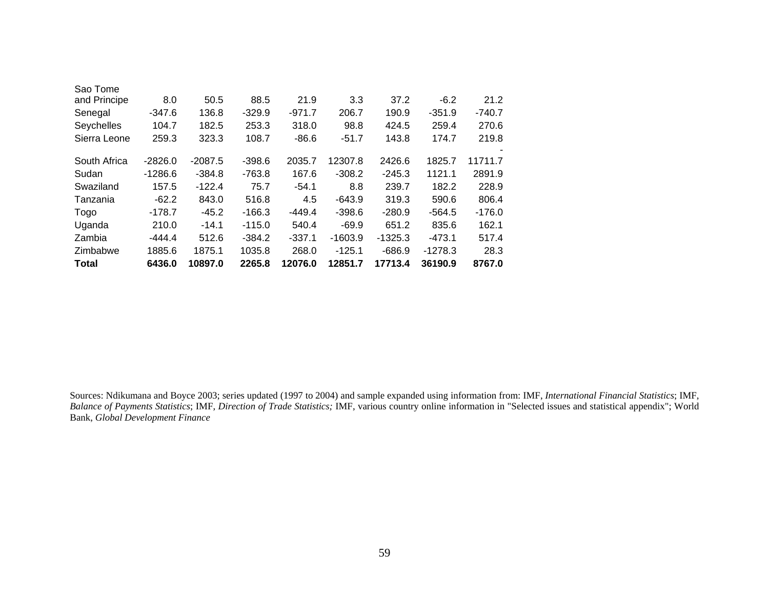| 6436.0    | 10897.0   | 2265.8   | 12076.0  | 12851.7   | 17713.4   | 36190.9   | 8767.0   |
|-----------|-----------|----------|----------|-----------|-----------|-----------|----------|
| 1885.6    | 1875.1    | 1035.8   | 268.0    | $-125.1$  | $-686.9$  | $-1278.3$ | 28.3     |
| $-444.4$  | 512.6     | $-384.2$ | $-337.1$ | $-1603.9$ | $-1325.3$ | $-473.1$  | 517.4    |
| 210.0     | $-14.1$   | $-115.0$ | 540.4    | $-69.9$   | 651.2     | 835.6     | 162.1    |
| $-178.7$  | $-45.2$   | $-166.3$ | $-449.4$ | $-398.6$  | $-280.9$  | $-564.5$  | $-176.0$ |
| $-62.2$   | 843.0     | 516.8    | 4.5      | $-643.9$  | 319.3     | 590.6     | 806.4    |
| 157.5     | $-122.4$  | 75.7     | $-54.1$  | 8.8       | 239.7     | 182.2     | 228.9    |
| $-1286.6$ | $-384.8$  | -763.8   | 167.6    | $-308.2$  | $-245.3$  | 1121.1    | 2891.9   |
| $-2826.0$ | $-2087.5$ | $-398.6$ | 2035.7   | 12307.8   | 2426.6    | 1825.7    | 11711.7  |
| 259.3     | 323.3     | 108.7    | $-86.6$  | $-51.7$   | 143.8     | 174.7     | 219.8    |
| 104.7     | 182.5     | 253.3    | 318.0    | 98.8      | 424.5     | 259.4     | 270.6    |
| $-347.6$  | 136.8     | $-329.9$ | $-971.7$ | 206.7     | 190.9     | $-351.9$  | $-740.7$ |
| 8.0       | 50.5      | 88.5     | 21.9     | 3.3       | 37.2      | $-6.2$    | 21.2     |
|           |           |          |          |           |           |           |          |

Sources: Ndikumana and Boyce 2003; series updated (1997 to 2004) and sample expanded using information from: IMF, *International Financial Statistics*; IMF, *Balance of Payments Statistics*; IMF, *Direction of Trade Statistics;* IMF, various country online information in "Selected issues and statistical appendix"; World Bank, *Global Development Finance*